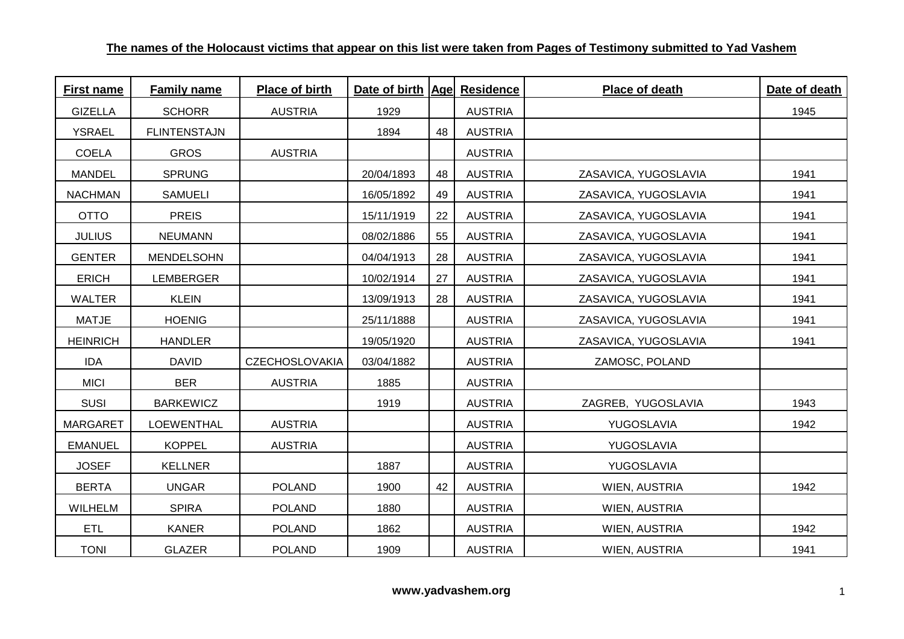| <b>First name</b> | <b>Family name</b>  | <b>Place of birth</b> | Date of birth   Age  Residence |    |                | <b>Place of death</b> | Date of death |
|-------------------|---------------------|-----------------------|--------------------------------|----|----------------|-----------------------|---------------|
| <b>GIZELLA</b>    | <b>SCHORR</b>       | <b>AUSTRIA</b>        | 1929                           |    | <b>AUSTRIA</b> |                       | 1945          |
| <b>YSRAEL</b>     | <b>FLINTENSTAJN</b> |                       | 1894                           | 48 | <b>AUSTRIA</b> |                       |               |
| <b>COELA</b>      | <b>GROS</b>         | <b>AUSTRIA</b>        |                                |    | <b>AUSTRIA</b> |                       |               |
| <b>MANDEL</b>     | <b>SPRUNG</b>       |                       | 20/04/1893                     | 48 | <b>AUSTRIA</b> | ZASAVICA, YUGOSLAVIA  | 1941          |
| <b>NACHMAN</b>    | <b>SAMUELI</b>      |                       | 16/05/1892                     | 49 | <b>AUSTRIA</b> | ZASAVICA, YUGOSLAVIA  | 1941          |
| <b>OTTO</b>       | <b>PREIS</b>        |                       | 15/11/1919                     | 22 | <b>AUSTRIA</b> | ZASAVICA, YUGOSLAVIA  | 1941          |
| <b>JULIUS</b>     | <b>NEUMANN</b>      |                       | 08/02/1886                     | 55 | <b>AUSTRIA</b> | ZASAVICA, YUGOSLAVIA  | 1941          |
| <b>GENTER</b>     | MENDELSOHN          |                       | 04/04/1913                     | 28 | <b>AUSTRIA</b> | ZASAVICA, YUGOSLAVIA  | 1941          |
| <b>ERICH</b>      | LEMBERGER           |                       | 10/02/1914                     | 27 | <b>AUSTRIA</b> | ZASAVICA, YUGOSLAVIA  | 1941          |
| <b>WALTER</b>     | <b>KLEIN</b>        |                       | 13/09/1913                     | 28 | <b>AUSTRIA</b> | ZASAVICA, YUGOSLAVIA  | 1941          |
| <b>MATJE</b>      | <b>HOENIG</b>       |                       | 25/11/1888                     |    | <b>AUSTRIA</b> | ZASAVICA, YUGOSLAVIA  | 1941          |
| <b>HEINRICH</b>   | <b>HANDLER</b>      |                       | 19/05/1920                     |    | <b>AUSTRIA</b> | ZASAVICA, YUGOSLAVIA  | 1941          |
| <b>IDA</b>        | <b>DAVID</b>        | <b>CZECHOSLOVAKIA</b> | 03/04/1882                     |    | <b>AUSTRIA</b> | ZAMOSC, POLAND        |               |
| <b>MICI</b>       | <b>BER</b>          | <b>AUSTRIA</b>        | 1885                           |    | <b>AUSTRIA</b> |                       |               |
| <b>SUSI</b>       | <b>BARKEWICZ</b>    |                       | 1919                           |    | <b>AUSTRIA</b> | ZAGREB, YUGOSLAVIA    | 1943          |
| <b>MARGARET</b>   | <b>LOEWENTHAL</b>   | <b>AUSTRIA</b>        |                                |    | <b>AUSTRIA</b> | YUGOSLAVIA            | 1942          |
| <b>EMANUEL</b>    | <b>KOPPEL</b>       | <b>AUSTRIA</b>        |                                |    | <b>AUSTRIA</b> | YUGOSLAVIA            |               |
| <b>JOSEF</b>      | <b>KELLNER</b>      |                       | 1887                           |    | <b>AUSTRIA</b> | YUGOSLAVIA            |               |
| <b>BERTA</b>      | <b>UNGAR</b>        | <b>POLAND</b>         | 1900                           | 42 | <b>AUSTRIA</b> | WIEN, AUSTRIA         | 1942          |
| <b>WILHELM</b>    | <b>SPIRA</b>        | <b>POLAND</b>         | 1880                           |    | <b>AUSTRIA</b> | WIEN, AUSTRIA         |               |
| <b>ETL</b>        | <b>KANER</b>        | <b>POLAND</b>         | 1862                           |    | <b>AUSTRIA</b> | WIEN, AUSTRIA         | 1942          |
| <b>TONI</b>       | <b>GLAZER</b>       | <b>POLAND</b>         | 1909                           |    | <b>AUSTRIA</b> | WIEN, AUSTRIA         | 1941          |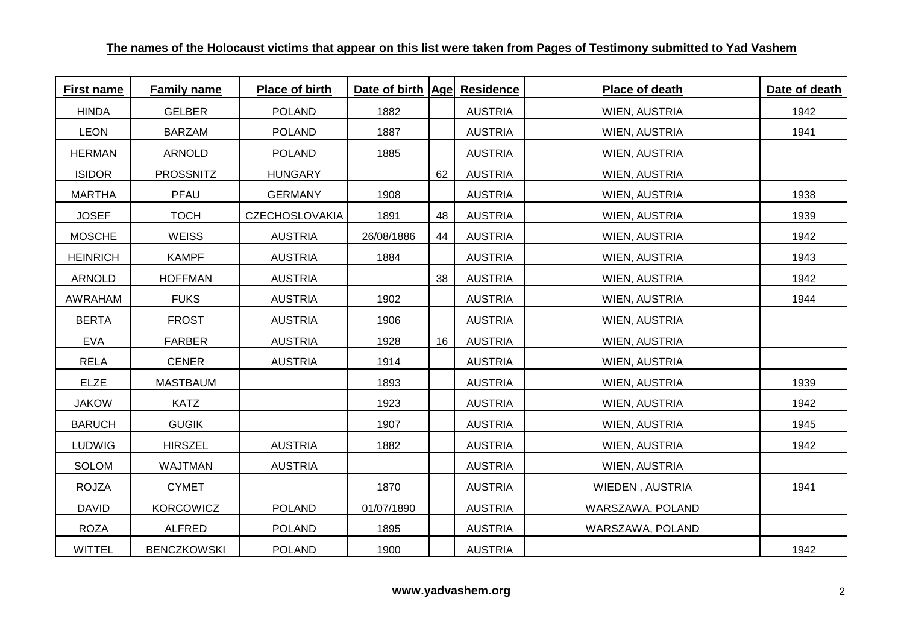| <b>First name</b> | Family name        | <b>Place of birth</b> | Date of birth   Age  Residence |    |                | <b>Place of death</b> | Date of death |
|-------------------|--------------------|-----------------------|--------------------------------|----|----------------|-----------------------|---------------|
| <b>HINDA</b>      | <b>GELBER</b>      | <b>POLAND</b>         | 1882                           |    | <b>AUSTRIA</b> | WIEN, AUSTRIA         | 1942          |
| <b>LEON</b>       | <b>BARZAM</b>      | <b>POLAND</b>         | 1887                           |    | <b>AUSTRIA</b> | WIEN, AUSTRIA         | 1941          |
| <b>HERMAN</b>     | <b>ARNOLD</b>      | <b>POLAND</b>         | 1885                           |    | <b>AUSTRIA</b> | WIEN, AUSTRIA         |               |
| <b>ISIDOR</b>     | <b>PROSSNITZ</b>   | <b>HUNGARY</b>        |                                | 62 | <b>AUSTRIA</b> | WIEN, AUSTRIA         |               |
| <b>MARTHA</b>     | PFAU               | <b>GERMANY</b>        | 1908                           |    | <b>AUSTRIA</b> | WIEN, AUSTRIA         | 1938          |
| <b>JOSEF</b>      | <b>TOCH</b>        | <b>CZECHOSLOVAKIA</b> | 1891                           | 48 | <b>AUSTRIA</b> | <b>WIEN, AUSTRIA</b>  | 1939          |
| <b>MOSCHE</b>     | <b>WEISS</b>       | <b>AUSTRIA</b>        | 26/08/1886                     | 44 | <b>AUSTRIA</b> | WIEN, AUSTRIA         | 1942          |
| <b>HEINRICH</b>   | <b>KAMPF</b>       | <b>AUSTRIA</b>        | 1884                           |    | <b>AUSTRIA</b> | WIEN, AUSTRIA         | 1943          |
| <b>ARNOLD</b>     | <b>HOFFMAN</b>     | <b>AUSTRIA</b>        |                                | 38 | <b>AUSTRIA</b> | WIEN, AUSTRIA         | 1942          |
| <b>AWRAHAM</b>    | <b>FUKS</b>        | <b>AUSTRIA</b>        | 1902                           |    | <b>AUSTRIA</b> | WIEN, AUSTRIA         | 1944          |
| <b>BERTA</b>      | <b>FROST</b>       | <b>AUSTRIA</b>        | 1906                           |    | <b>AUSTRIA</b> | WIEN, AUSTRIA         |               |
| <b>EVA</b>        | <b>FARBER</b>      | <b>AUSTRIA</b>        | 1928                           | 16 | <b>AUSTRIA</b> | WIEN, AUSTRIA         |               |
| <b>RELA</b>       | <b>CENER</b>       | <b>AUSTRIA</b>        | 1914                           |    | <b>AUSTRIA</b> | WIEN, AUSTRIA         |               |
| <b>ELZE</b>       | <b>MASTBAUM</b>    |                       | 1893                           |    | <b>AUSTRIA</b> | <b>WIEN, AUSTRIA</b>  | 1939          |
| <b>JAKOW</b>      | <b>KATZ</b>        |                       | 1923                           |    | <b>AUSTRIA</b> | WIEN, AUSTRIA         | 1942          |
| <b>BARUCH</b>     | <b>GUGIK</b>       |                       | 1907                           |    | <b>AUSTRIA</b> | WIEN, AUSTRIA         | 1945          |
| <b>LUDWIG</b>     | <b>HIRSZEL</b>     | <b>AUSTRIA</b>        | 1882                           |    | <b>AUSTRIA</b> | WIEN, AUSTRIA         | 1942          |
| <b>SOLOM</b>      | <b>WAJTMAN</b>     | <b>AUSTRIA</b>        |                                |    | <b>AUSTRIA</b> | WIEN, AUSTRIA         |               |
| <b>ROJZA</b>      | <b>CYMET</b>       |                       | 1870                           |    | <b>AUSTRIA</b> | WIEDEN, AUSTRIA       | 1941          |
| <b>DAVID</b>      | <b>KORCOWICZ</b>   | <b>POLAND</b>         | 01/07/1890                     |    | <b>AUSTRIA</b> | WARSZAWA, POLAND      |               |
| <b>ROZA</b>       | <b>ALFRED</b>      | <b>POLAND</b>         | 1895                           |    | <b>AUSTRIA</b> | WARSZAWA, POLAND      |               |
| <b>WITTEL</b>     | <b>BENCZKOWSKI</b> | <b>POLAND</b>         | 1900                           |    | <b>AUSTRIA</b> |                       | 1942          |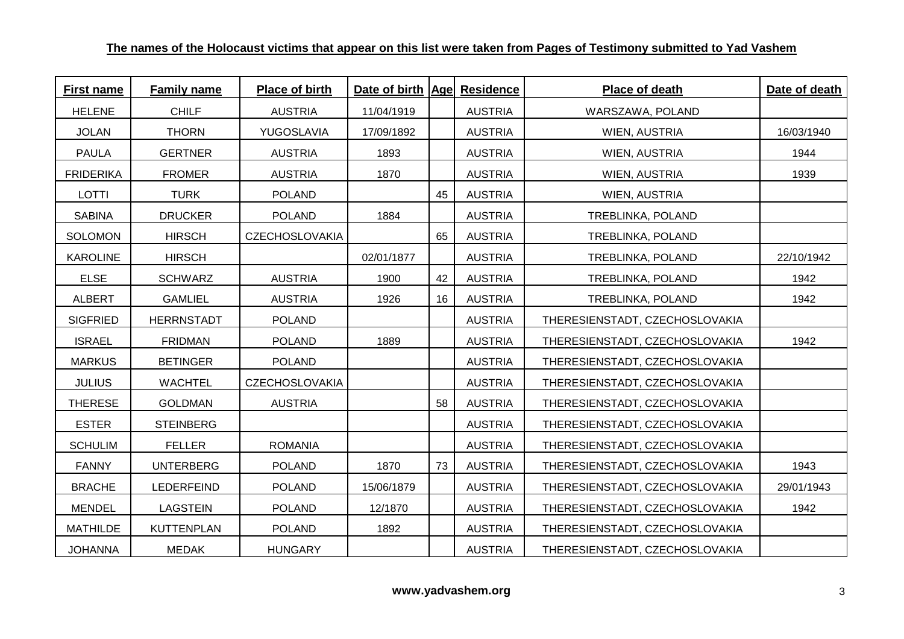| <b>First name</b> | <b>Family name</b> | Place of birth        | Date of birth   Age  Residence |    |                | Place of death                 | Date of death |
|-------------------|--------------------|-----------------------|--------------------------------|----|----------------|--------------------------------|---------------|
| <b>HELENE</b>     | <b>CHILF</b>       | <b>AUSTRIA</b>        | 11/04/1919                     |    | <b>AUSTRIA</b> | WARSZAWA, POLAND               |               |
| <b>JOLAN</b>      | <b>THORN</b>       | YUGOSLAVIA            | 17/09/1892                     |    | <b>AUSTRIA</b> | WIEN, AUSTRIA                  | 16/03/1940    |
| <b>PAULA</b>      | <b>GERTNER</b>     | <b>AUSTRIA</b>        | 1893                           |    | <b>AUSTRIA</b> | WIEN, AUSTRIA                  | 1944          |
| <b>FRIDERIKA</b>  | <b>FROMER</b>      | <b>AUSTRIA</b>        | 1870                           |    | <b>AUSTRIA</b> | WIEN, AUSTRIA                  | 1939          |
| <b>LOTTI</b>      | <b>TURK</b>        | <b>POLAND</b>         |                                | 45 | <b>AUSTRIA</b> | WIEN, AUSTRIA                  |               |
| <b>SABINA</b>     | <b>DRUCKER</b>     | <b>POLAND</b>         | 1884                           |    | <b>AUSTRIA</b> | TREBLINKA, POLAND              |               |
| <b>SOLOMON</b>    | <b>HIRSCH</b>      | <b>CZECHOSLOVAKIA</b> |                                | 65 | <b>AUSTRIA</b> | TREBLINKA, POLAND              |               |
| <b>KAROLINE</b>   | <b>HIRSCH</b>      |                       | 02/01/1877                     |    | <b>AUSTRIA</b> | TREBLINKA, POLAND              | 22/10/1942    |
| <b>ELSE</b>       | <b>SCHWARZ</b>     | <b>AUSTRIA</b>        | 1900                           | 42 | <b>AUSTRIA</b> | TREBLINKA, POLAND              | 1942          |
| <b>ALBERT</b>     | <b>GAMLIEL</b>     | <b>AUSTRIA</b>        | 1926                           | 16 | <b>AUSTRIA</b> | TREBLINKA, POLAND              | 1942          |
| <b>SIGFRIED</b>   | <b>HERRNSTADT</b>  | <b>POLAND</b>         |                                |    | <b>AUSTRIA</b> | THERESIENSTADT, CZECHOSLOVAKIA |               |
| <b>ISRAEL</b>     | <b>FRIDMAN</b>     | <b>POLAND</b>         | 1889                           |    | <b>AUSTRIA</b> | THERESIENSTADT, CZECHOSLOVAKIA | 1942          |
| <b>MARKUS</b>     | <b>BETINGER</b>    | <b>POLAND</b>         |                                |    | <b>AUSTRIA</b> | THERESIENSTADT, CZECHOSLOVAKIA |               |
| <b>JULIUS</b>     | <b>WACHTEL</b>     | <b>CZECHOSLOVAKIA</b> |                                |    | <b>AUSTRIA</b> | THERESIENSTADT, CZECHOSLOVAKIA |               |
| <b>THERESE</b>    | <b>GOLDMAN</b>     | <b>AUSTRIA</b>        |                                | 58 | <b>AUSTRIA</b> | THERESIENSTADT, CZECHOSLOVAKIA |               |
| <b>ESTER</b>      | <b>STEINBERG</b>   |                       |                                |    | <b>AUSTRIA</b> | THERESIENSTADT, CZECHOSLOVAKIA |               |
| <b>SCHULIM</b>    | <b>FELLER</b>      | <b>ROMANIA</b>        |                                |    | <b>AUSTRIA</b> | THERESIENSTADT, CZECHOSLOVAKIA |               |
| <b>FANNY</b>      | <b>UNTERBERG</b>   | <b>POLAND</b>         | 1870                           | 73 | <b>AUSTRIA</b> | THERESIENSTADT, CZECHOSLOVAKIA | 1943          |
| <b>BRACHE</b>     | LEDERFEIND         | <b>POLAND</b>         | 15/06/1879                     |    | <b>AUSTRIA</b> | THERESIENSTADT, CZECHOSLOVAKIA | 29/01/1943    |
| <b>MENDEL</b>     | <b>LAGSTEIN</b>    | <b>POLAND</b>         | 12/1870                        |    | <b>AUSTRIA</b> | THERESIENSTADT, CZECHOSLOVAKIA | 1942          |
| <b>MATHILDE</b>   | <b>KUTTENPLAN</b>  | <b>POLAND</b>         | 1892                           |    | <b>AUSTRIA</b> | THERESIENSTADT, CZECHOSLOVAKIA |               |
| <b>ANNAHOL</b>    | <b>MEDAK</b>       | <b>HUNGARY</b>        |                                |    | <b>AUSTRIA</b> | THERESIENSTADT, CZECHOSLOVAKIA |               |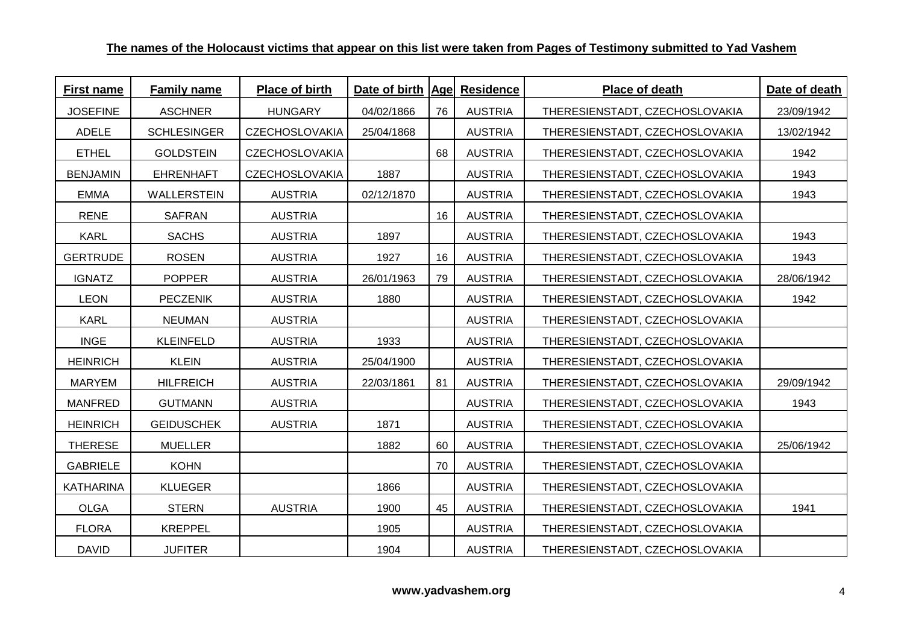| <b>First name</b> | <b>Family name</b> | Place of birth        | Date of birth   Age  Residence |    |                | Place of death                 | Date of death |
|-------------------|--------------------|-----------------------|--------------------------------|----|----------------|--------------------------------|---------------|
| <b>JOSEFINE</b>   | <b>ASCHNER</b>     | <b>HUNGARY</b>        | 04/02/1866                     | 76 | <b>AUSTRIA</b> | THERESIENSTADT, CZECHOSLOVAKIA | 23/09/1942    |
| <b>ADELE</b>      | <b>SCHLESINGER</b> | <b>CZECHOSLOVAKIA</b> | 25/04/1868                     |    | <b>AUSTRIA</b> | THERESIENSTADT, CZECHOSLOVAKIA | 13/02/1942    |
| <b>ETHEL</b>      | <b>GOLDSTEIN</b>   | <b>CZECHOSLOVAKIA</b> |                                | 68 | <b>AUSTRIA</b> | THERESIENSTADT, CZECHOSLOVAKIA | 1942          |
| <b>BENJAMIN</b>   | <b>EHRENHAFT</b>   | <b>CZECHOSLOVAKIA</b> | 1887                           |    | <b>AUSTRIA</b> | THERESIENSTADT, CZECHOSLOVAKIA | 1943          |
| <b>EMMA</b>       | WALLERSTEIN        | <b>AUSTRIA</b>        | 02/12/1870                     |    | <b>AUSTRIA</b> | THERESIENSTADT, CZECHOSLOVAKIA | 1943          |
| <b>RENE</b>       | SAFRAN             | <b>AUSTRIA</b>        |                                | 16 | <b>AUSTRIA</b> | THERESIENSTADT, CZECHOSLOVAKIA |               |
| <b>KARL</b>       | <b>SACHS</b>       | <b>AUSTRIA</b>        | 1897                           |    | <b>AUSTRIA</b> | THERESIENSTADT, CZECHOSLOVAKIA | 1943          |
| <b>GERTRUDE</b>   | <b>ROSEN</b>       | <b>AUSTRIA</b>        | 1927                           | 16 | <b>AUSTRIA</b> | THERESIENSTADT, CZECHOSLOVAKIA | 1943          |
| <b>IGNATZ</b>     | <b>POPPER</b>      | <b>AUSTRIA</b>        | 26/01/1963                     | 79 | <b>AUSTRIA</b> | THERESIENSTADT, CZECHOSLOVAKIA | 28/06/1942    |
| <b>LEON</b>       | <b>PECZENIK</b>    | <b>AUSTRIA</b>        | 1880                           |    | <b>AUSTRIA</b> | THERESIENSTADT, CZECHOSLOVAKIA | 1942          |
| <b>KARL</b>       | <b>NEUMAN</b>      | <b>AUSTRIA</b>        |                                |    | <b>AUSTRIA</b> | THERESIENSTADT, CZECHOSLOVAKIA |               |
| <b>INGE</b>       | <b>KLEINFELD</b>   | <b>AUSTRIA</b>        | 1933                           |    | <b>AUSTRIA</b> | THERESIENSTADT, CZECHOSLOVAKIA |               |
| <b>HEINRICH</b>   | <b>KLEIN</b>       | <b>AUSTRIA</b>        | 25/04/1900                     |    | <b>AUSTRIA</b> | THERESIENSTADT, CZECHOSLOVAKIA |               |
| <b>MARYEM</b>     | <b>HILFREICH</b>   | <b>AUSTRIA</b>        | 22/03/1861                     | 81 | <b>AUSTRIA</b> | THERESIENSTADT, CZECHOSLOVAKIA | 29/09/1942    |
| <b>MANFRED</b>    | <b>GUTMANN</b>     | <b>AUSTRIA</b>        |                                |    | <b>AUSTRIA</b> | THERESIENSTADT, CZECHOSLOVAKIA | 1943          |
| <b>HEINRICH</b>   | <b>GEIDUSCHEK</b>  | <b>AUSTRIA</b>        | 1871                           |    | <b>AUSTRIA</b> | THERESIENSTADT, CZECHOSLOVAKIA |               |
| <b>THERESE</b>    | <b>MUELLER</b>     |                       | 1882                           | 60 | <b>AUSTRIA</b> | THERESIENSTADT, CZECHOSLOVAKIA | 25/06/1942    |
| <b>GABRIELE</b>   | <b>KOHN</b>        |                       |                                | 70 | <b>AUSTRIA</b> | THERESIENSTADT, CZECHOSLOVAKIA |               |
| <b>KATHARINA</b>  | <b>KLUEGER</b>     |                       | 1866                           |    | <b>AUSTRIA</b> | THERESIENSTADT, CZECHOSLOVAKIA |               |
| <b>OLGA</b>       | <b>STERN</b>       | <b>AUSTRIA</b>        | 1900                           | 45 | <b>AUSTRIA</b> | THERESIENSTADT, CZECHOSLOVAKIA | 1941          |
| <b>FLORA</b>      | <b>KREPPEL</b>     |                       | 1905                           |    | <b>AUSTRIA</b> | THERESIENSTADT, CZECHOSLOVAKIA |               |
| <b>DAVID</b>      | <b>JUFITER</b>     |                       | 1904                           |    | <b>AUSTRIA</b> | THERESIENSTADT, CZECHOSLOVAKIA |               |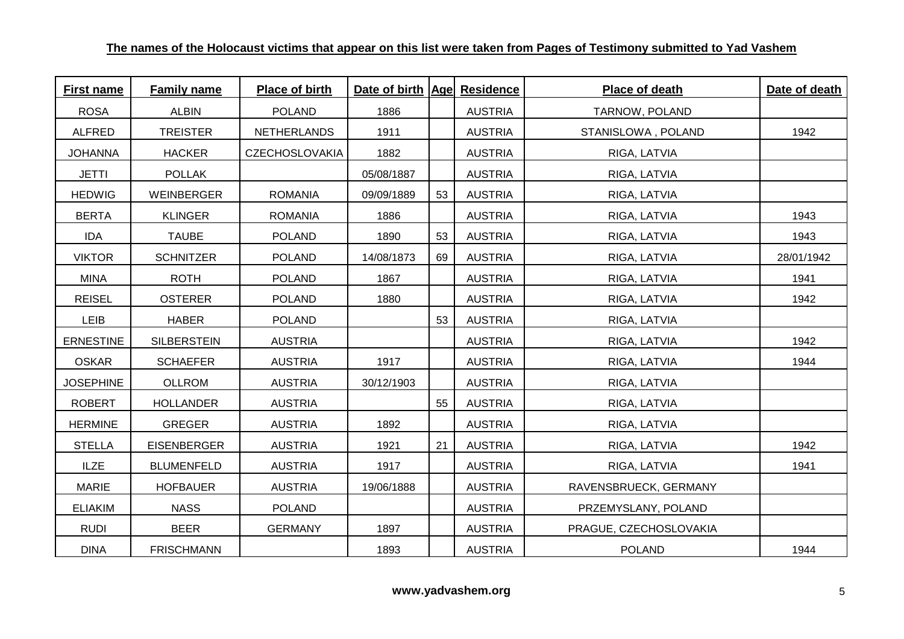| <b>First name</b> | <b>Family name</b> | Place of birth        | Date of birth   Age  Residence |    |                | Place of death         | Date of death |
|-------------------|--------------------|-----------------------|--------------------------------|----|----------------|------------------------|---------------|
| <b>ROSA</b>       | <b>ALBIN</b>       | <b>POLAND</b>         | 1886                           |    | <b>AUSTRIA</b> | TARNOW, POLAND         |               |
| <b>ALFRED</b>     | <b>TREISTER</b>    | <b>NETHERLANDS</b>    | 1911                           |    | <b>AUSTRIA</b> | STANISLOWA, POLAND     | 1942          |
| <b>JOHANNA</b>    | <b>HACKER</b>      | <b>CZECHOSLOVAKIA</b> | 1882                           |    | <b>AUSTRIA</b> | RIGA, LATVIA           |               |
| <b>JETTI</b>      | <b>POLLAK</b>      |                       | 05/08/1887                     |    | <b>AUSTRIA</b> | RIGA, LATVIA           |               |
| <b>HEDWIG</b>     | WEINBERGER         | <b>ROMANIA</b>        | 09/09/1889                     | 53 | <b>AUSTRIA</b> | RIGA, LATVIA           |               |
| <b>BERTA</b>      | <b>KLINGER</b>     | <b>ROMANIA</b>        | 1886                           |    | <b>AUSTRIA</b> | RIGA, LATVIA           | 1943          |
| <b>IDA</b>        | <b>TAUBE</b>       | <b>POLAND</b>         | 1890                           | 53 | <b>AUSTRIA</b> | RIGA, LATVIA           | 1943          |
| <b>VIKTOR</b>     | <b>SCHNITZER</b>   | <b>POLAND</b>         | 14/08/1873                     | 69 | <b>AUSTRIA</b> | RIGA, LATVIA           | 28/01/1942    |
| <b>MINA</b>       | <b>ROTH</b>        | <b>POLAND</b>         | 1867                           |    | <b>AUSTRIA</b> | RIGA, LATVIA           | 1941          |
| <b>REISEL</b>     | <b>OSTERER</b>     | <b>POLAND</b>         | 1880                           |    | <b>AUSTRIA</b> | RIGA, LATVIA           | 1942          |
| <b>LEIB</b>       | <b>HABER</b>       | <b>POLAND</b>         |                                | 53 | <b>AUSTRIA</b> | RIGA, LATVIA           |               |
| <b>ERNESTINE</b>  | <b>SILBERSTEIN</b> | <b>AUSTRIA</b>        |                                |    | <b>AUSTRIA</b> | RIGA, LATVIA           | 1942          |
| <b>OSKAR</b>      | <b>SCHAEFER</b>    | <b>AUSTRIA</b>        | 1917                           |    | <b>AUSTRIA</b> | RIGA, LATVIA           | 1944          |
| <b>JOSEPHINE</b>  | <b>OLLROM</b>      | <b>AUSTRIA</b>        | 30/12/1903                     |    | <b>AUSTRIA</b> | RIGA, LATVIA           |               |
| <b>ROBERT</b>     | <b>HOLLANDER</b>   | <b>AUSTRIA</b>        |                                | 55 | <b>AUSTRIA</b> | RIGA, LATVIA           |               |
| <b>HERMINE</b>    | <b>GREGER</b>      | <b>AUSTRIA</b>        | 1892                           |    | <b>AUSTRIA</b> | RIGA, LATVIA           |               |
| <b>STELLA</b>     | <b>EISENBERGER</b> | <b>AUSTRIA</b>        | 1921                           | 21 | <b>AUSTRIA</b> | RIGA, LATVIA           | 1942          |
| <b>ILZE</b>       | <b>BLUMENFELD</b>  | <b>AUSTRIA</b>        | 1917                           |    | <b>AUSTRIA</b> | RIGA, LATVIA           | 1941          |
| <b>MARIE</b>      | <b>HOFBAUER</b>    | <b>AUSTRIA</b>        | 19/06/1888                     |    | <b>AUSTRIA</b> | RAVENSBRUECK, GERMANY  |               |
| <b>ELIAKIM</b>    | <b>NASS</b>        | <b>POLAND</b>         |                                |    | <b>AUSTRIA</b> | PRZEMYSLANY, POLAND    |               |
| <b>RUDI</b>       | <b>BEER</b>        | <b>GERMANY</b>        | 1897                           |    | <b>AUSTRIA</b> | PRAGUE, CZECHOSLOVAKIA |               |
| <b>DINA</b>       | <b>FRISCHMANN</b>  |                       | 1893                           |    | <b>AUSTRIA</b> | <b>POLAND</b>          | 1944          |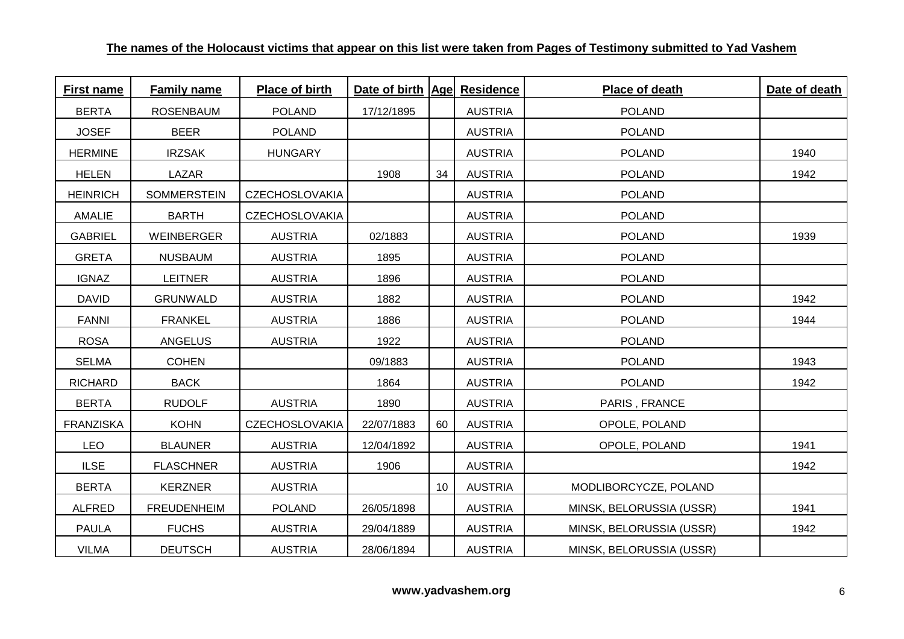| <b>First name</b> | <b>Family name</b> | Place of birth        | Date of birth   Age  Residence |    |                | Place of death           | Date of death |
|-------------------|--------------------|-----------------------|--------------------------------|----|----------------|--------------------------|---------------|
| <b>BERTA</b>      | <b>ROSENBAUM</b>   | <b>POLAND</b>         | 17/12/1895                     |    | <b>AUSTRIA</b> | <b>POLAND</b>            |               |
| <b>JOSEF</b>      | <b>BEER</b>        | <b>POLAND</b>         |                                |    | <b>AUSTRIA</b> | <b>POLAND</b>            |               |
| <b>HERMINE</b>    | <b>IRZSAK</b>      | <b>HUNGARY</b>        |                                |    | <b>AUSTRIA</b> | <b>POLAND</b>            | 1940          |
| <b>HELEN</b>      | LAZAR              |                       | 1908                           | 34 | <b>AUSTRIA</b> | <b>POLAND</b>            | 1942          |
| <b>HEINRICH</b>   | <b>SOMMERSTEIN</b> | <b>CZECHOSLOVAKIA</b> |                                |    | <b>AUSTRIA</b> | <b>POLAND</b>            |               |
| <b>AMALIE</b>     | <b>BARTH</b>       | <b>CZECHOSLOVAKIA</b> |                                |    | <b>AUSTRIA</b> | <b>POLAND</b>            |               |
| <b>GABRIEL</b>    | WEINBERGER         | <b>AUSTRIA</b>        | 02/1883                        |    | <b>AUSTRIA</b> | <b>POLAND</b>            | 1939          |
| <b>GRETA</b>      | <b>NUSBAUM</b>     | <b>AUSTRIA</b>        | 1895                           |    | <b>AUSTRIA</b> | <b>POLAND</b>            |               |
| <b>IGNAZ</b>      | <b>LEITNER</b>     | <b>AUSTRIA</b>        | 1896                           |    | <b>AUSTRIA</b> | <b>POLAND</b>            |               |
| <b>DAVID</b>      | <b>GRUNWALD</b>    | <b>AUSTRIA</b>        | 1882                           |    | <b>AUSTRIA</b> | <b>POLAND</b>            | 1942          |
| <b>FANNI</b>      | <b>FRANKEL</b>     | <b>AUSTRIA</b>        | 1886                           |    | <b>AUSTRIA</b> | <b>POLAND</b>            | 1944          |
| <b>ROSA</b>       | <b>ANGELUS</b>     | <b>AUSTRIA</b>        | 1922                           |    | <b>AUSTRIA</b> | <b>POLAND</b>            |               |
| <b>SELMA</b>      | <b>COHEN</b>       |                       | 09/1883                        |    | <b>AUSTRIA</b> | <b>POLAND</b>            | 1943          |
| <b>RICHARD</b>    | <b>BACK</b>        |                       | 1864                           |    | <b>AUSTRIA</b> | <b>POLAND</b>            | 1942          |
| <b>BERTA</b>      | <b>RUDOLF</b>      | <b>AUSTRIA</b>        | 1890                           |    | <b>AUSTRIA</b> | PARIS, FRANCE            |               |
| <b>FRANZISKA</b>  | <b>KOHN</b>        | CZECHOSLOVAKIA        | 22/07/1883                     | 60 | <b>AUSTRIA</b> | OPOLE, POLAND            |               |
| <b>LEO</b>        | <b>BLAUNER</b>     | <b>AUSTRIA</b>        | 12/04/1892                     |    | <b>AUSTRIA</b> | OPOLE, POLAND            | 1941          |
| <b>ILSE</b>       | <b>FLASCHNER</b>   | <b>AUSTRIA</b>        | 1906                           |    | <b>AUSTRIA</b> |                          | 1942          |
| <b>BERTA</b>      | <b>KERZNER</b>     | <b>AUSTRIA</b>        |                                | 10 | <b>AUSTRIA</b> | MODLIBORCYCZE, POLAND    |               |
| <b>ALFRED</b>     | <b>FREUDENHEIM</b> | <b>POLAND</b>         | 26/05/1898                     |    | <b>AUSTRIA</b> | MINSK, BELORUSSIA (USSR) | 1941          |
| <b>PAULA</b>      | <b>FUCHS</b>       | <b>AUSTRIA</b>        | 29/04/1889                     |    | <b>AUSTRIA</b> | MINSK, BELORUSSIA (USSR) | 1942          |
| <b>VILMA</b>      | <b>DEUTSCH</b>     | <b>AUSTRIA</b>        | 28/06/1894                     |    | <b>AUSTRIA</b> | MINSK, BELORUSSIA (USSR) |               |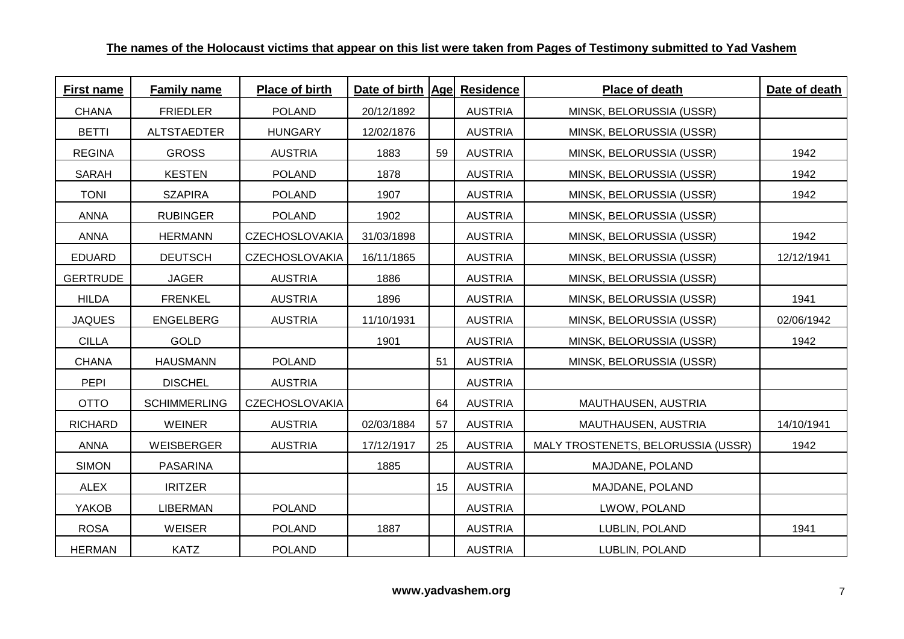| <b>First name</b> | <b>Family name</b>  | <b>Place of birth</b> | Date of birth Age Residence |    |                | Place of death                     | Date of death |
|-------------------|---------------------|-----------------------|-----------------------------|----|----------------|------------------------------------|---------------|
| <b>CHANA</b>      | <b>FRIEDLER</b>     | <b>POLAND</b>         | 20/12/1892                  |    | <b>AUSTRIA</b> | MINSK, BELORUSSIA (USSR)           |               |
| <b>BETTI</b>      | <b>ALTSTAEDTER</b>  | <b>HUNGARY</b>        | 12/02/1876                  |    | <b>AUSTRIA</b> | MINSK, BELORUSSIA (USSR)           |               |
| <b>REGINA</b>     | <b>GROSS</b>        | <b>AUSTRIA</b>        | 1883                        | 59 | <b>AUSTRIA</b> | MINSK, BELORUSSIA (USSR)           | 1942          |
| <b>SARAH</b>      | <b>KESTEN</b>       | <b>POLAND</b>         | 1878                        |    | <b>AUSTRIA</b> | MINSK, BELORUSSIA (USSR)           | 1942          |
| <b>TONI</b>       | <b>SZAPIRA</b>      | <b>POLAND</b>         | 1907                        |    | <b>AUSTRIA</b> | MINSK, BELORUSSIA (USSR)           | 1942          |
| <b>ANNA</b>       | <b>RUBINGER</b>     | <b>POLAND</b>         | 1902                        |    | <b>AUSTRIA</b> | MINSK, BELORUSSIA (USSR)           |               |
| <b>ANNA</b>       | <b>HERMANN</b>      | <b>CZECHOSLOVAKIA</b> | 31/03/1898                  |    | <b>AUSTRIA</b> | MINSK, BELORUSSIA (USSR)           | 1942          |
| <b>EDUARD</b>     | <b>DEUTSCH</b>      | <b>CZECHOSLOVAKIA</b> | 16/11/1865                  |    | <b>AUSTRIA</b> | MINSK, BELORUSSIA (USSR)           | 12/12/1941    |
| <b>GERTRUDE</b>   | <b>JAGER</b>        | <b>AUSTRIA</b>        | 1886                        |    | <b>AUSTRIA</b> | MINSK, BELORUSSIA (USSR)           |               |
| <b>HILDA</b>      | <b>FRENKEL</b>      | <b>AUSTRIA</b>        | 1896                        |    | <b>AUSTRIA</b> | MINSK, BELORUSSIA (USSR)           | 1941          |
| <b>JAQUES</b>     | <b>ENGELBERG</b>    | <b>AUSTRIA</b>        | 11/10/1931                  |    | <b>AUSTRIA</b> | MINSK, BELORUSSIA (USSR)           | 02/06/1942    |
| <b>CILLA</b>      | <b>GOLD</b>         |                       | 1901                        |    | <b>AUSTRIA</b> | MINSK, BELORUSSIA (USSR)           | 1942          |
| <b>CHANA</b>      | <b>HAUSMANN</b>     | <b>POLAND</b>         |                             | 51 | <b>AUSTRIA</b> | MINSK, BELORUSSIA (USSR)           |               |
| <b>PEPI</b>       | <b>DISCHEL</b>      | <b>AUSTRIA</b>        |                             |    | <b>AUSTRIA</b> |                                    |               |
| <b>OTTO</b>       | <b>SCHIMMERLING</b> | <b>CZECHOSLOVAKIA</b> |                             | 64 | <b>AUSTRIA</b> | MAUTHAUSEN, AUSTRIA                |               |
| <b>RICHARD</b>    | <b>WEINER</b>       | <b>AUSTRIA</b>        | 02/03/1884                  | 57 | <b>AUSTRIA</b> | MAUTHAUSEN, AUSTRIA                | 14/10/1941    |
| <b>ANNA</b>       | WEISBERGER          | <b>AUSTRIA</b>        | 17/12/1917                  | 25 | <b>AUSTRIA</b> | MALY TROSTENETS, BELORUSSIA (USSR) | 1942          |
| <b>SIMON</b>      | <b>PASARINA</b>     |                       | 1885                        |    | <b>AUSTRIA</b> | MAJDANE, POLAND                    |               |
| <b>ALEX</b>       | <b>IRITZER</b>      |                       |                             | 15 | <b>AUSTRIA</b> | MAJDANE, POLAND                    |               |
| YAKOB             | <b>LIBERMAN</b>     | <b>POLAND</b>         |                             |    | <b>AUSTRIA</b> | LWOW, POLAND                       |               |
| <b>ROSA</b>       | <b>WEISER</b>       | <b>POLAND</b>         | 1887                        |    | <b>AUSTRIA</b> | LUBLIN, POLAND                     | 1941          |
| <b>HERMAN</b>     | <b>KATZ</b>         | <b>POLAND</b>         |                             |    | <b>AUSTRIA</b> | LUBLIN, POLAND                     |               |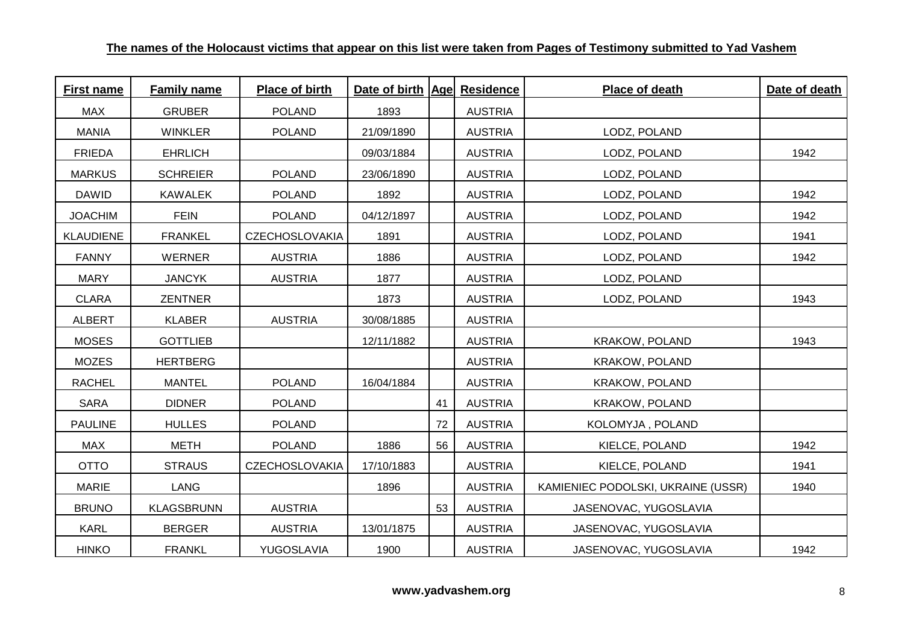| <b>First name</b> | <b>Family name</b> | Place of birth        | Date of birth   Age  Residence |    |                | <b>Place of death</b>              | Date of death |
|-------------------|--------------------|-----------------------|--------------------------------|----|----------------|------------------------------------|---------------|
| <b>MAX</b>        | <b>GRUBER</b>      | <b>POLAND</b>         | 1893                           |    | <b>AUSTRIA</b> |                                    |               |
| <b>MANIA</b>      | <b>WINKLER</b>     | <b>POLAND</b>         | 21/09/1890                     |    | <b>AUSTRIA</b> | LODZ, POLAND                       |               |
| <b>FRIEDA</b>     | <b>EHRLICH</b>     |                       | 09/03/1884                     |    | <b>AUSTRIA</b> | LODZ, POLAND                       | 1942          |
| <b>MARKUS</b>     | <b>SCHREIER</b>    | <b>POLAND</b>         | 23/06/1890                     |    | <b>AUSTRIA</b> | LODZ, POLAND                       |               |
| <b>DAWID</b>      | <b>KAWALEK</b>     | <b>POLAND</b>         | 1892                           |    | <b>AUSTRIA</b> | LODZ, POLAND                       | 1942          |
| <b>JOACHIM</b>    | <b>FEIN</b>        | <b>POLAND</b>         | 04/12/1897                     |    | <b>AUSTRIA</b> | LODZ, POLAND                       | 1942          |
| <b>KLAUDIENE</b>  | <b>FRANKEL</b>     | <b>CZECHOSLOVAKIA</b> | 1891                           |    | <b>AUSTRIA</b> | LODZ, POLAND                       | 1941          |
| <b>FANNY</b>      | <b>WERNER</b>      | <b>AUSTRIA</b>        | 1886                           |    | <b>AUSTRIA</b> | LODZ, POLAND                       | 1942          |
| <b>MARY</b>       | <b>JANCYK</b>      | <b>AUSTRIA</b>        | 1877                           |    | <b>AUSTRIA</b> | LODZ, POLAND                       |               |
| <b>CLARA</b>      | <b>ZENTNER</b>     |                       | 1873                           |    | <b>AUSTRIA</b> | LODZ, POLAND                       | 1943          |
| <b>ALBERT</b>     | <b>KLABER</b>      | <b>AUSTRIA</b>        | 30/08/1885                     |    | <b>AUSTRIA</b> |                                    |               |
| <b>MOSES</b>      | <b>GOTTLIEB</b>    |                       | 12/11/1882                     |    | <b>AUSTRIA</b> | KRAKOW, POLAND                     | 1943          |
| <b>MOZES</b>      | <b>HERTBERG</b>    |                       |                                |    | <b>AUSTRIA</b> | <b>KRAKOW, POLAND</b>              |               |
| <b>RACHEL</b>     | <b>MANTEL</b>      | <b>POLAND</b>         | 16/04/1884                     |    | <b>AUSTRIA</b> | KRAKOW, POLAND                     |               |
| <b>SARA</b>       | <b>DIDNER</b>      | <b>POLAND</b>         |                                | 41 | <b>AUSTRIA</b> | KRAKOW, POLAND                     |               |
| <b>PAULINE</b>    | <b>HULLES</b>      | <b>POLAND</b>         |                                | 72 | <b>AUSTRIA</b> | KOLOMYJA, POLAND                   |               |
| <b>MAX</b>        | <b>METH</b>        | <b>POLAND</b>         | 1886                           | 56 | <b>AUSTRIA</b> | KIELCE, POLAND                     | 1942          |
| <b>OTTO</b>       | <b>STRAUS</b>      | <b>CZECHOSLOVAKIA</b> | 17/10/1883                     |    | <b>AUSTRIA</b> | KIELCE, POLAND                     | 1941          |
| <b>MARIE</b>      | <b>LANG</b>        |                       | 1896                           |    | <b>AUSTRIA</b> | KAMIENIEC PODOLSKI, UKRAINE (USSR) | 1940          |
| <b>BRUNO</b>      | <b>KLAGSBRUNN</b>  | <b>AUSTRIA</b>        |                                | 53 | <b>AUSTRIA</b> | JASENOVAC, YUGOSLAVIA              |               |
| <b>KARL</b>       | <b>BERGER</b>      | <b>AUSTRIA</b>        | 13/01/1875                     |    | <b>AUSTRIA</b> | JASENOVAC, YUGOSLAVIA              |               |
| <b>HINKO</b>      | <b>FRANKL</b>      | YUGOSLAVIA            | 1900                           |    | <b>AUSTRIA</b> | JASENOVAC, YUGOSLAVIA              | 1942          |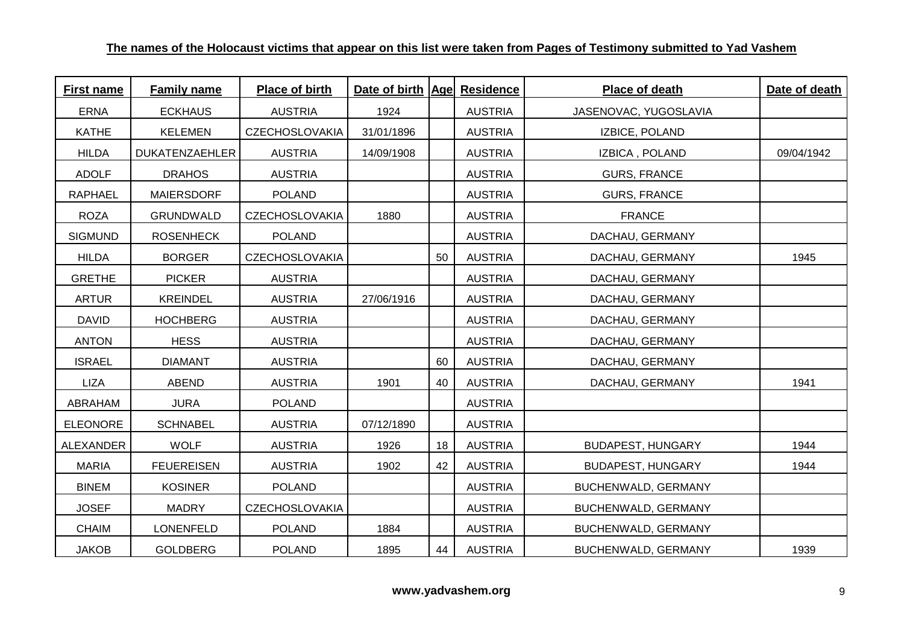| <b>First name</b> | <b>Family name</b> | <b>Place of birth</b> | Date of birth   Age  Residence |    |                | Place of death           | Date of death |
|-------------------|--------------------|-----------------------|--------------------------------|----|----------------|--------------------------|---------------|
| <b>ERNA</b>       | <b>ECKHAUS</b>     | <b>AUSTRIA</b>        | 1924                           |    | <b>AUSTRIA</b> | JASENOVAC, YUGOSLAVIA    |               |
| <b>KATHE</b>      | <b>KELEMEN</b>     | <b>CZECHOSLOVAKIA</b> | 31/01/1896                     |    | <b>AUSTRIA</b> | IZBICE, POLAND           |               |
| <b>HILDA</b>      | DUKATENZAEHLER     | <b>AUSTRIA</b>        | 14/09/1908                     |    | <b>AUSTRIA</b> | IZBICA, POLAND           | 09/04/1942    |
| <b>ADOLF</b>      | <b>DRAHOS</b>      | <b>AUSTRIA</b>        |                                |    | <b>AUSTRIA</b> | <b>GURS, FRANCE</b>      |               |
| <b>RAPHAEL</b>    | <b>MAIERSDORF</b>  | <b>POLAND</b>         |                                |    | <b>AUSTRIA</b> | <b>GURS, FRANCE</b>      |               |
| <b>ROZA</b>       | <b>GRUNDWALD</b>   | <b>CZECHOSLOVAKIA</b> | 1880                           |    | <b>AUSTRIA</b> | <b>FRANCE</b>            |               |
| <b>SIGMUND</b>    | <b>ROSENHECK</b>   | <b>POLAND</b>         |                                |    | <b>AUSTRIA</b> | DACHAU, GERMANY          |               |
| <b>HILDA</b>      | <b>BORGER</b>      | <b>CZECHOSLOVAKIA</b> |                                | 50 | <b>AUSTRIA</b> | DACHAU, GERMANY          | 1945          |
| <b>GRETHE</b>     | <b>PICKER</b>      | <b>AUSTRIA</b>        |                                |    | <b>AUSTRIA</b> | DACHAU, GERMANY          |               |
| <b>ARTUR</b>      | <b>KREINDEL</b>    | <b>AUSTRIA</b>        | 27/06/1916                     |    | <b>AUSTRIA</b> | DACHAU, GERMANY          |               |
| <b>DAVID</b>      | <b>HOCHBERG</b>    | <b>AUSTRIA</b>        |                                |    | <b>AUSTRIA</b> | DACHAU, GERMANY          |               |
| <b>ANTON</b>      | <b>HESS</b>        | <b>AUSTRIA</b>        |                                |    | <b>AUSTRIA</b> | DACHAU, GERMANY          |               |
| <b>ISRAEL</b>     | <b>DIAMANT</b>     | <b>AUSTRIA</b>        |                                | 60 | <b>AUSTRIA</b> | DACHAU, GERMANY          |               |
| <b>LIZA</b>       | ABEND              | <b>AUSTRIA</b>        | 1901                           | 40 | <b>AUSTRIA</b> | DACHAU, GERMANY          | 1941          |
| ABRAHAM           | <b>JURA</b>        | <b>POLAND</b>         |                                |    | <b>AUSTRIA</b> |                          |               |
| <b>ELEONORE</b>   | <b>SCHNABEL</b>    | <b>AUSTRIA</b>        | 07/12/1890                     |    | <b>AUSTRIA</b> |                          |               |
| <b>ALEXANDER</b>  | <b>WOLF</b>        | <b>AUSTRIA</b>        | 1926                           | 18 | <b>AUSTRIA</b> | <b>BUDAPEST, HUNGARY</b> | 1944          |
| <b>MARIA</b>      | <b>FEUEREISEN</b>  | <b>AUSTRIA</b>        | 1902                           | 42 | <b>AUSTRIA</b> | <b>BUDAPEST, HUNGARY</b> | 1944          |
| <b>BINEM</b>      | <b>KOSINER</b>     | <b>POLAND</b>         |                                |    | <b>AUSTRIA</b> | BUCHENWALD, GERMANY      |               |
| <b>JOSEF</b>      | <b>MADRY</b>       | <b>CZECHOSLOVAKIA</b> |                                |    | <b>AUSTRIA</b> | BUCHENWALD, GERMANY      |               |
| <b>CHAIM</b>      | <b>LONENFELD</b>   | <b>POLAND</b>         | 1884                           |    | <b>AUSTRIA</b> | BUCHENWALD, GERMANY      |               |
| <b>JAKOB</b>      | <b>GOLDBERG</b>    | <b>POLAND</b>         | 1895                           | 44 | <b>AUSTRIA</b> | BUCHENWALD, GERMANY      | 1939          |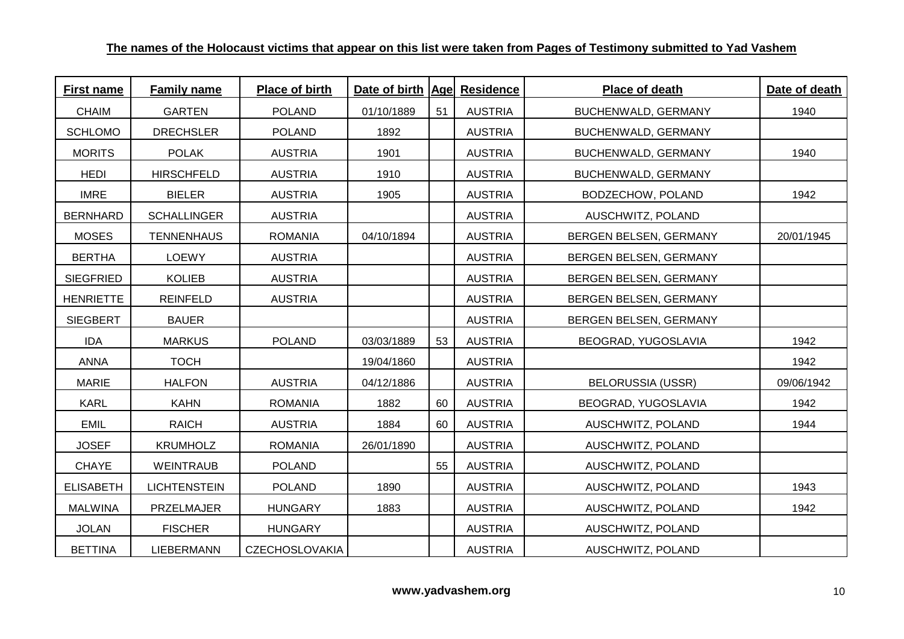| <b>First name</b> | <b>Family name</b>  | Place of birth        | Date of birth   Age  Residence |    |                | Place of death           | Date of death |
|-------------------|---------------------|-----------------------|--------------------------------|----|----------------|--------------------------|---------------|
| <b>CHAIM</b>      | <b>GARTEN</b>       | <b>POLAND</b>         | 01/10/1889                     | 51 | <b>AUSTRIA</b> | BUCHENWALD, GERMANY      | 1940          |
| <b>SCHLOMO</b>    | <b>DRECHSLER</b>    | <b>POLAND</b>         | 1892                           |    | <b>AUSTRIA</b> | BUCHENWALD, GERMANY      |               |
| <b>MORITS</b>     | <b>POLAK</b>        | <b>AUSTRIA</b>        | 1901                           |    | <b>AUSTRIA</b> | BUCHENWALD, GERMANY      | 1940          |
| <b>HEDI</b>       | <b>HIRSCHFELD</b>   | <b>AUSTRIA</b>        | 1910                           |    | <b>AUSTRIA</b> | BUCHENWALD, GERMANY      |               |
| <b>IMRE</b>       | <b>BIELER</b>       | <b>AUSTRIA</b>        | 1905                           |    | <b>AUSTRIA</b> | BODZECHOW, POLAND        | 1942          |
| <b>BERNHARD</b>   | <b>SCHALLINGER</b>  | <b>AUSTRIA</b>        |                                |    | <b>AUSTRIA</b> | AUSCHWITZ, POLAND        |               |
| <b>MOSES</b>      | <b>TENNENHAUS</b>   | <b>ROMANIA</b>        | 04/10/1894                     |    | <b>AUSTRIA</b> | BERGEN BELSEN, GERMANY   | 20/01/1945    |
| <b>BERTHA</b>     | <b>LOEWY</b>        | <b>AUSTRIA</b>        |                                |    | <b>AUSTRIA</b> | BERGEN BELSEN, GERMANY   |               |
| <b>SIEGFRIED</b>  | <b>KOLIEB</b>       | <b>AUSTRIA</b>        |                                |    | <b>AUSTRIA</b> | BERGEN BELSEN, GERMANY   |               |
| <b>HENRIETTE</b>  | <b>REINFELD</b>     | <b>AUSTRIA</b>        |                                |    | <b>AUSTRIA</b> | BERGEN BELSEN, GERMANY   |               |
| <b>SIEGBERT</b>   | <b>BAUER</b>        |                       |                                |    | <b>AUSTRIA</b> | BERGEN BELSEN, GERMANY   |               |
| <b>IDA</b>        | <b>MARKUS</b>       | <b>POLAND</b>         | 03/03/1889                     | 53 | <b>AUSTRIA</b> | BEOGRAD, YUGOSLAVIA      | 1942          |
| <b>ANNA</b>       | <b>TOCH</b>         |                       | 19/04/1860                     |    | <b>AUSTRIA</b> |                          | 1942          |
| <b>MARIE</b>      | <b>HALFON</b>       | <b>AUSTRIA</b>        | 04/12/1886                     |    | <b>AUSTRIA</b> | <b>BELORUSSIA (USSR)</b> | 09/06/1942    |
| <b>KARL</b>       | <b>KAHN</b>         | <b>ROMANIA</b>        | 1882                           | 60 | <b>AUSTRIA</b> | BEOGRAD, YUGOSLAVIA      | 1942          |
| <b>EMIL</b>       | <b>RAICH</b>        | <b>AUSTRIA</b>        | 1884                           | 60 | <b>AUSTRIA</b> | AUSCHWITZ, POLAND        | 1944          |
| <b>JOSEF</b>      | <b>KRUMHOLZ</b>     | <b>ROMANIA</b>        | 26/01/1890                     |    | <b>AUSTRIA</b> | AUSCHWITZ, POLAND        |               |
| <b>CHAYE</b>      | <b>WEINTRAUB</b>    | <b>POLAND</b>         |                                | 55 | <b>AUSTRIA</b> | AUSCHWITZ, POLAND        |               |
| <b>ELISABETH</b>  | <b>LICHTENSTEIN</b> | <b>POLAND</b>         | 1890                           |    | <b>AUSTRIA</b> | AUSCHWITZ, POLAND        | 1943          |
| <b>MALWINA</b>    | PRZELMAJER          | <b>HUNGARY</b>        | 1883                           |    | <b>AUSTRIA</b> | AUSCHWITZ, POLAND        | 1942          |
| <b>JOLAN</b>      | <b>FISCHER</b>      | <b>HUNGARY</b>        |                                |    | <b>AUSTRIA</b> | AUSCHWITZ, POLAND        |               |
| <b>BETTINA</b>    | <b>LIEBERMANN</b>   | <b>CZECHOSLOVAKIA</b> |                                |    | <b>AUSTRIA</b> | AUSCHWITZ, POLAND        |               |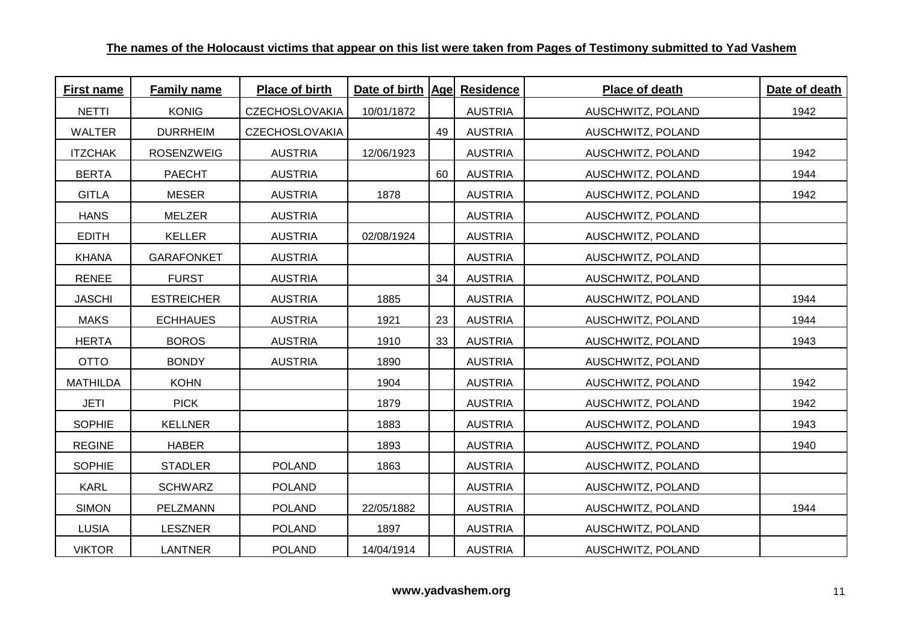| <b>First name</b> | <b>Family name</b> | <b>Place of birth</b> | Date of birth   Age  Residence |    |                | Place of death    | Date of death |
|-------------------|--------------------|-----------------------|--------------------------------|----|----------------|-------------------|---------------|
| <b>NETTI</b>      | <b>KONIG</b>       | <b>CZECHOSLOVAKIA</b> | 10/01/1872                     |    | <b>AUSTRIA</b> | AUSCHWITZ, POLAND | 1942          |
| <b>WALTER</b>     | <b>DURRHEIM</b>    | <b>CZECHOSLOVAKIA</b> |                                | 49 | <b>AUSTRIA</b> | AUSCHWITZ, POLAND |               |
| <b>ITZCHAK</b>    | <b>ROSENZWEIG</b>  | <b>AUSTRIA</b>        | 12/06/1923                     |    | <b>AUSTRIA</b> | AUSCHWITZ, POLAND | 1942          |
| <b>BERTA</b>      | <b>PAECHT</b>      | <b>AUSTRIA</b>        |                                | 60 | <b>AUSTRIA</b> | AUSCHWITZ, POLAND | 1944          |
| <b>GITLA</b>      | <b>MESER</b>       | <b>AUSTRIA</b>        | 1878                           |    | <b>AUSTRIA</b> | AUSCHWITZ, POLAND | 1942          |
| <b>HANS</b>       | MELZER             | <b>AUSTRIA</b>        |                                |    | <b>AUSTRIA</b> | AUSCHWITZ, POLAND |               |
| <b>EDITH</b>      | <b>KELLER</b>      | <b>AUSTRIA</b>        | 02/08/1924                     |    | <b>AUSTRIA</b> | AUSCHWITZ, POLAND |               |
| <b>KHANA</b>      | <b>GARAFONKET</b>  | <b>AUSTRIA</b>        |                                |    | <b>AUSTRIA</b> | AUSCHWITZ, POLAND |               |
| <b>RENEE</b>      | <b>FURST</b>       | <b>AUSTRIA</b>        |                                | 34 | <b>AUSTRIA</b> | AUSCHWITZ, POLAND |               |
| <b>JASCHI</b>     | <b>ESTREICHER</b>  | <b>AUSTRIA</b>        | 1885                           |    | <b>AUSTRIA</b> | AUSCHWITZ, POLAND | 1944          |
| <b>MAKS</b>       | <b>ECHHAUES</b>    | <b>AUSTRIA</b>        | 1921                           | 23 | <b>AUSTRIA</b> | AUSCHWITZ, POLAND | 1944          |
| <b>HERTA</b>      | <b>BOROS</b>       | <b>AUSTRIA</b>        | 1910                           | 33 | <b>AUSTRIA</b> | AUSCHWITZ, POLAND | 1943          |
| <b>OTTO</b>       | <b>BONDY</b>       | <b>AUSTRIA</b>        | 1890                           |    | <b>AUSTRIA</b> | AUSCHWITZ, POLAND |               |
| <b>MATHILDA</b>   | <b>KOHN</b>        |                       | 1904                           |    | <b>AUSTRIA</b> | AUSCHWITZ, POLAND | 1942          |
| <b>JETI</b>       | <b>PICK</b>        |                       | 1879                           |    | <b>AUSTRIA</b> | AUSCHWITZ, POLAND | 1942          |
| <b>SOPHIE</b>     | <b>KELLNER</b>     |                       | 1883                           |    | <b>AUSTRIA</b> | AUSCHWITZ, POLAND | 1943          |
| <b>REGINE</b>     | <b>HABER</b>       |                       | 1893                           |    | <b>AUSTRIA</b> | AUSCHWITZ, POLAND | 1940          |
| <b>SOPHIE</b>     | <b>STADLER</b>     | <b>POLAND</b>         | 1863                           |    | <b>AUSTRIA</b> | AUSCHWITZ, POLAND |               |
| <b>KARL</b>       | <b>SCHWARZ</b>     | <b>POLAND</b>         |                                |    | <b>AUSTRIA</b> | AUSCHWITZ, POLAND |               |
| <b>SIMON</b>      | PELZMANN           | <b>POLAND</b>         | 22/05/1882                     |    | <b>AUSTRIA</b> | AUSCHWITZ, POLAND | 1944          |
| <b>LUSIA</b>      | <b>LESZNER</b>     | <b>POLAND</b>         | 1897                           |    | <b>AUSTRIA</b> | AUSCHWITZ, POLAND |               |
| <b>VIKTOR</b>     | <b>LANTNER</b>     | <b>POLAND</b>         | 14/04/1914                     |    | <b>AUSTRIA</b> | AUSCHWITZ, POLAND |               |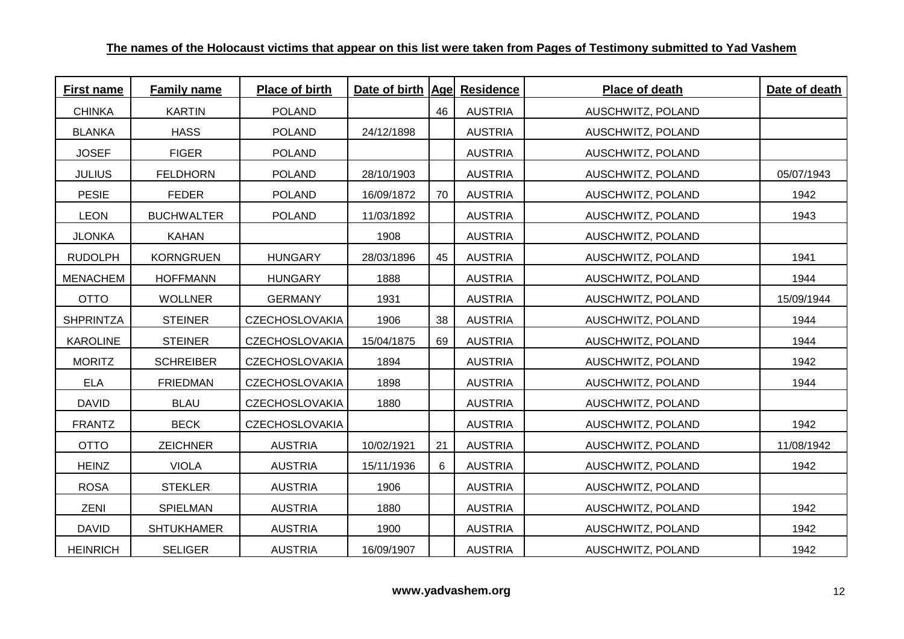| <b>First name</b> | <b>Family name</b> | <b>Place of birth</b> | Date of birth   Age  Residence |    |                | Place of death    | Date of death |
|-------------------|--------------------|-----------------------|--------------------------------|----|----------------|-------------------|---------------|
| <b>CHINKA</b>     | <b>KARTIN</b>      | <b>POLAND</b>         |                                | 46 | <b>AUSTRIA</b> | AUSCHWITZ, POLAND |               |
| <b>BLANKA</b>     | <b>HASS</b>        | <b>POLAND</b>         | 24/12/1898                     |    | <b>AUSTRIA</b> | AUSCHWITZ, POLAND |               |
| <b>JOSEF</b>      | <b>FIGER</b>       | <b>POLAND</b>         |                                |    | <b>AUSTRIA</b> | AUSCHWITZ, POLAND |               |
| <b>JULIUS</b>     | <b>FELDHORN</b>    | <b>POLAND</b>         | 28/10/1903                     |    | <b>AUSTRIA</b> | AUSCHWITZ, POLAND | 05/07/1943    |
| <b>PESIE</b>      | <b>FEDER</b>       | <b>POLAND</b>         | 16/09/1872                     | 70 | <b>AUSTRIA</b> | AUSCHWITZ, POLAND | 1942          |
| <b>LEON</b>       | <b>BUCHWALTER</b>  | <b>POLAND</b>         | 11/03/1892                     |    | <b>AUSTRIA</b> | AUSCHWITZ, POLAND | 1943          |
| <b>JLONKA</b>     | <b>KAHAN</b>       |                       | 1908                           |    | <b>AUSTRIA</b> | AUSCHWITZ, POLAND |               |
| <b>RUDOLPH</b>    | <b>KORNGRUEN</b>   | <b>HUNGARY</b>        | 28/03/1896                     | 45 | <b>AUSTRIA</b> | AUSCHWITZ, POLAND | 1941          |
| <b>MENACHEM</b>   | <b>HOFFMANN</b>    | <b>HUNGARY</b>        | 1888                           |    | <b>AUSTRIA</b> | AUSCHWITZ, POLAND | 1944          |
| <b>OTTO</b>       | <b>WOLLNER</b>     | <b>GERMANY</b>        | 1931                           |    | <b>AUSTRIA</b> | AUSCHWITZ, POLAND | 15/09/1944    |
| <b>SHPRINTZA</b>  | <b>STEINER</b>     | <b>CZECHOSLOVAKIA</b> | 1906                           | 38 | <b>AUSTRIA</b> | AUSCHWITZ, POLAND | 1944          |
| <b>KAROLINE</b>   | <b>STEINER</b>     | <b>CZECHOSLOVAKIA</b> | 15/04/1875                     | 69 | <b>AUSTRIA</b> | AUSCHWITZ, POLAND | 1944          |
| <b>MORITZ</b>     | <b>SCHREIBER</b>   | <b>CZECHOSLOVAKIA</b> | 1894                           |    | <b>AUSTRIA</b> | AUSCHWITZ, POLAND | 1942          |
| <b>ELA</b>        | <b>FRIEDMAN</b>    | <b>CZECHOSLOVAKIA</b> | 1898                           |    | <b>AUSTRIA</b> | AUSCHWITZ, POLAND | 1944          |
| <b>DAVID</b>      | <b>BLAU</b>        | <b>CZECHOSLOVAKIA</b> | 1880                           |    | <b>AUSTRIA</b> | AUSCHWITZ, POLAND |               |
| <b>FRANTZ</b>     | <b>BECK</b>        | <b>CZECHOSLOVAKIA</b> |                                |    | <b>AUSTRIA</b> | AUSCHWITZ, POLAND | 1942          |
| <b>OTTO</b>       | <b>ZEICHNER</b>    | <b>AUSTRIA</b>        | 10/02/1921                     | 21 | <b>AUSTRIA</b> | AUSCHWITZ, POLAND | 11/08/1942    |
| <b>HEINZ</b>      | <b>VIOLA</b>       | <b>AUSTRIA</b>        | 15/11/1936                     | 6  | <b>AUSTRIA</b> | AUSCHWITZ, POLAND | 1942          |
| <b>ROSA</b>       | <b>STEKLER</b>     | <b>AUSTRIA</b>        | 1906                           |    | <b>AUSTRIA</b> | AUSCHWITZ, POLAND |               |
| ZENI              | SPIELMAN           | <b>AUSTRIA</b>        | 1880                           |    | <b>AUSTRIA</b> | AUSCHWITZ, POLAND | 1942          |
| <b>DAVID</b>      | <b>SHTUKHAMER</b>  | <b>AUSTRIA</b>        | 1900                           |    | <b>AUSTRIA</b> | AUSCHWITZ, POLAND | 1942          |
| <b>HEINRICH</b>   | <b>SELIGER</b>     | <b>AUSTRIA</b>        | 16/09/1907                     |    | <b>AUSTRIA</b> | AUSCHWITZ, POLAND | 1942          |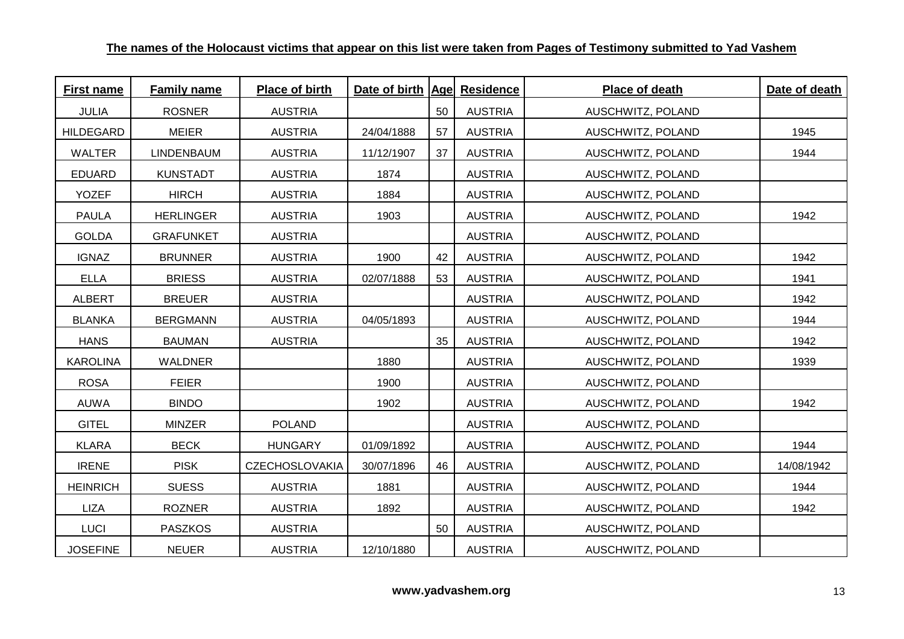| <b>First name</b> | Family name      | Place of birth        | Date of birth   Age  Residence |    |                | Place of death    | Date of death |
|-------------------|------------------|-----------------------|--------------------------------|----|----------------|-------------------|---------------|
| <b>JULIA</b>      | <b>ROSNER</b>    | <b>AUSTRIA</b>        |                                | 50 | <b>AUSTRIA</b> | AUSCHWITZ, POLAND |               |
| <b>HILDEGARD</b>  | <b>MEIER</b>     | <b>AUSTRIA</b>        | 24/04/1888                     | 57 | <b>AUSTRIA</b> | AUSCHWITZ, POLAND | 1945          |
| <b>WALTER</b>     | LINDENBAUM       | <b>AUSTRIA</b>        | 11/12/1907                     | 37 | <b>AUSTRIA</b> | AUSCHWITZ, POLAND | 1944          |
| <b>EDUARD</b>     | <b>KUNSTADT</b>  | <b>AUSTRIA</b>        | 1874                           |    | <b>AUSTRIA</b> | AUSCHWITZ, POLAND |               |
| <b>YOZEF</b>      | <b>HIRCH</b>     | <b>AUSTRIA</b>        | 1884                           |    | <b>AUSTRIA</b> | AUSCHWITZ, POLAND |               |
| <b>PAULA</b>      | <b>HERLINGER</b> | <b>AUSTRIA</b>        | 1903                           |    | <b>AUSTRIA</b> | AUSCHWITZ, POLAND | 1942          |
| <b>GOLDA</b>      | <b>GRAFUNKET</b> | <b>AUSTRIA</b>        |                                |    | <b>AUSTRIA</b> | AUSCHWITZ, POLAND |               |
| <b>IGNAZ</b>      | <b>BRUNNER</b>   | <b>AUSTRIA</b>        | 1900                           | 42 | <b>AUSTRIA</b> | AUSCHWITZ, POLAND | 1942          |
| <b>ELLA</b>       | <b>BRIESS</b>    | <b>AUSTRIA</b>        | 02/07/1888                     | 53 | <b>AUSTRIA</b> | AUSCHWITZ, POLAND | 1941          |
| <b>ALBERT</b>     | <b>BREUER</b>    | <b>AUSTRIA</b>        |                                |    | <b>AUSTRIA</b> | AUSCHWITZ, POLAND | 1942          |
| <b>BLANKA</b>     | <b>BERGMANN</b>  | <b>AUSTRIA</b>        | 04/05/1893                     |    | <b>AUSTRIA</b> | AUSCHWITZ, POLAND | 1944          |
| <b>HANS</b>       | <b>BAUMAN</b>    | <b>AUSTRIA</b>        |                                | 35 | <b>AUSTRIA</b> | AUSCHWITZ, POLAND | 1942          |
| <b>KAROLINA</b>   | <b>WALDNER</b>   |                       | 1880                           |    | <b>AUSTRIA</b> | AUSCHWITZ, POLAND | 1939          |
| <b>ROSA</b>       | <b>FEIER</b>     |                       | 1900                           |    | <b>AUSTRIA</b> | AUSCHWITZ, POLAND |               |
| <b>AUWA</b>       | <b>BINDO</b>     |                       | 1902                           |    | <b>AUSTRIA</b> | AUSCHWITZ, POLAND | 1942          |
| <b>GITEL</b>      | <b>MINZER</b>    | <b>POLAND</b>         |                                |    | <b>AUSTRIA</b> | AUSCHWITZ, POLAND |               |
| <b>KLARA</b>      | <b>BECK</b>      | <b>HUNGARY</b>        | 01/09/1892                     |    | <b>AUSTRIA</b> | AUSCHWITZ, POLAND | 1944          |
| <b>IRENE</b>      | <b>PISK</b>      | <b>CZECHOSLOVAKIA</b> | 30/07/1896                     | 46 | <b>AUSTRIA</b> | AUSCHWITZ, POLAND | 14/08/1942    |
| <b>HEINRICH</b>   | <b>SUESS</b>     | <b>AUSTRIA</b>        | 1881                           |    | <b>AUSTRIA</b> | AUSCHWITZ, POLAND | 1944          |
| <b>LIZA</b>       | <b>ROZNER</b>    | <b>AUSTRIA</b>        | 1892                           |    | <b>AUSTRIA</b> | AUSCHWITZ, POLAND | 1942          |
| <b>LUCI</b>       | <b>PASZKOS</b>   | <b>AUSTRIA</b>        |                                | 50 | <b>AUSTRIA</b> | AUSCHWITZ, POLAND |               |
| <b>JOSEFINE</b>   | <b>NEUER</b>     | <b>AUSTRIA</b>        | 12/10/1880                     |    | <b>AUSTRIA</b> | AUSCHWITZ, POLAND |               |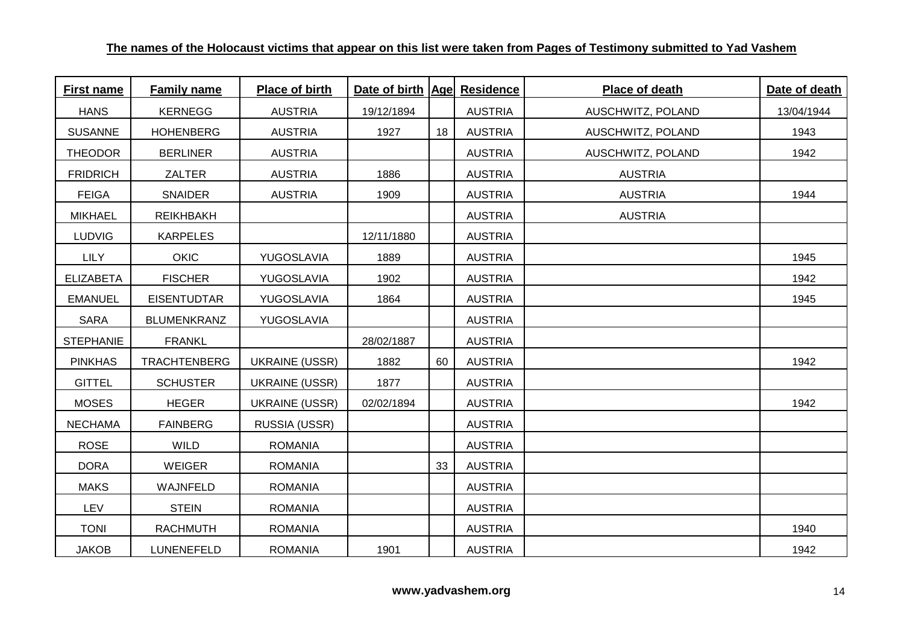| <b>First name</b> | <b>Family name</b>  | Place of birth        | Date of birth   Age  Residence |    |                | Place of death    | Date of death |
|-------------------|---------------------|-----------------------|--------------------------------|----|----------------|-------------------|---------------|
| <b>HANS</b>       | <b>KERNEGG</b>      | <b>AUSTRIA</b>        | 19/12/1894                     |    | <b>AUSTRIA</b> | AUSCHWITZ, POLAND | 13/04/1944    |
| <b>SUSANNE</b>    | <b>HOHENBERG</b>    | <b>AUSTRIA</b>        | 1927                           | 18 | <b>AUSTRIA</b> | AUSCHWITZ, POLAND | 1943          |
| <b>THEODOR</b>    | <b>BERLINER</b>     | <b>AUSTRIA</b>        |                                |    | <b>AUSTRIA</b> | AUSCHWITZ, POLAND | 1942          |
| <b>FRIDRICH</b>   | <b>ZALTER</b>       | <b>AUSTRIA</b>        | 1886                           |    | <b>AUSTRIA</b> | <b>AUSTRIA</b>    |               |
| <b>FEIGA</b>      | <b>SNAIDER</b>      | <b>AUSTRIA</b>        | 1909                           |    | <b>AUSTRIA</b> | <b>AUSTRIA</b>    | 1944          |
| <b>MIKHAEL</b>    | <b>REIKHBAKH</b>    |                       |                                |    | <b>AUSTRIA</b> | <b>AUSTRIA</b>    |               |
| <b>LUDVIG</b>     | <b>KARPELES</b>     |                       | 12/11/1880                     |    | <b>AUSTRIA</b> |                   |               |
| <b>LILY</b>       | <b>OKIC</b>         | YUGOSLAVIA            | 1889                           |    | <b>AUSTRIA</b> |                   | 1945          |
| <b>ELIZABETA</b>  | <b>FISCHER</b>      | YUGOSLAVIA            | 1902                           |    | <b>AUSTRIA</b> |                   | 1942          |
| <b>EMANUEL</b>    | <b>EISENTUDTAR</b>  | YUGOSLAVIA            | 1864                           |    | <b>AUSTRIA</b> |                   | 1945          |
| <b>SARA</b>       | <b>BLUMENKRANZ</b>  | YUGOSLAVIA            |                                |    | <b>AUSTRIA</b> |                   |               |
| <b>STEPHANIE</b>  | <b>FRANKL</b>       |                       | 28/02/1887                     |    | <b>AUSTRIA</b> |                   |               |
| <b>PINKHAS</b>    | <b>TRACHTENBERG</b> | <b>UKRAINE (USSR)</b> | 1882                           | 60 | <b>AUSTRIA</b> |                   | 1942          |
| <b>GITTEL</b>     | <b>SCHUSTER</b>     | <b>UKRAINE (USSR)</b> | 1877                           |    | <b>AUSTRIA</b> |                   |               |
| <b>MOSES</b>      | <b>HEGER</b>        | <b>UKRAINE (USSR)</b> | 02/02/1894                     |    | <b>AUSTRIA</b> |                   | 1942          |
| <b>NECHAMA</b>    | <b>FAINBERG</b>     | RUSSIA (USSR)         |                                |    | <b>AUSTRIA</b> |                   |               |
| <b>ROSE</b>       | <b>WILD</b>         | <b>ROMANIA</b>        |                                |    | <b>AUSTRIA</b> |                   |               |
| <b>DORA</b>       | <b>WEIGER</b>       | <b>ROMANIA</b>        |                                | 33 | <b>AUSTRIA</b> |                   |               |
| <b>MAKS</b>       | WAJNFELD            | <b>ROMANIA</b>        |                                |    | <b>AUSTRIA</b> |                   |               |
| <b>LEV</b>        | <b>STEIN</b>        | <b>ROMANIA</b>        |                                |    | <b>AUSTRIA</b> |                   |               |
| <b>TONI</b>       | <b>RACHMUTH</b>     | <b>ROMANIA</b>        |                                |    | <b>AUSTRIA</b> |                   | 1940          |
| <b>JAKOB</b>      | LUNENEFELD          | <b>ROMANIA</b>        | 1901                           |    | <b>AUSTRIA</b> |                   | 1942          |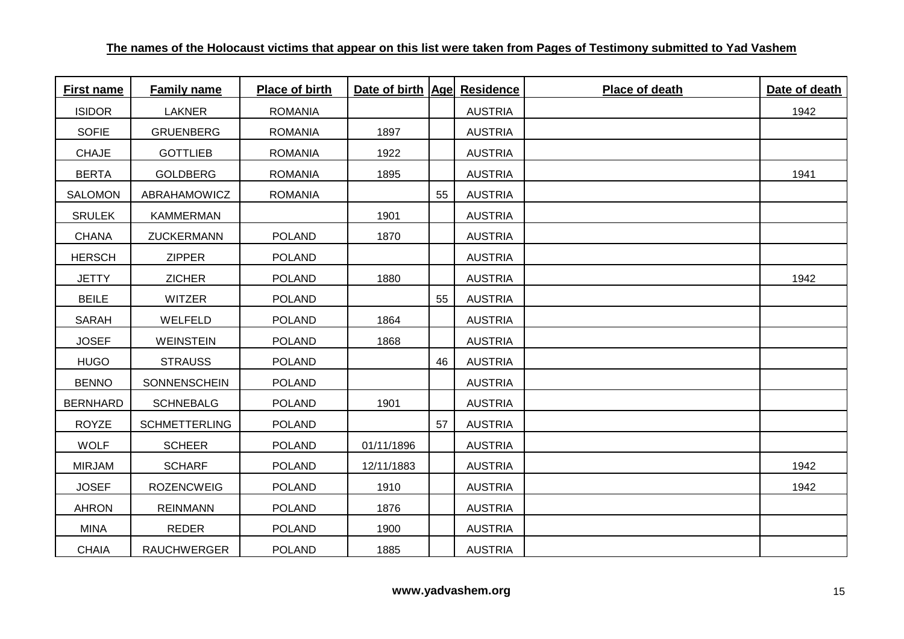| <b>First name</b> | <b>Family name</b>   | Place of birth | Date of birth   Age  Residence |    |                | Place of death | Date of death |
|-------------------|----------------------|----------------|--------------------------------|----|----------------|----------------|---------------|
| <b>ISIDOR</b>     | LAKNER               | <b>ROMANIA</b> |                                |    | <b>AUSTRIA</b> |                | 1942          |
| <b>SOFIE</b>      | <b>GRUENBERG</b>     | <b>ROMANIA</b> | 1897                           |    | <b>AUSTRIA</b> |                |               |
| <b>CHAJE</b>      | <b>GOTTLIEB</b>      | <b>ROMANIA</b> | 1922                           |    | <b>AUSTRIA</b> |                |               |
| <b>BERTA</b>      | GOLDBERG             | <b>ROMANIA</b> | 1895                           |    | <b>AUSTRIA</b> |                | 1941          |
| <b>SALOMON</b>    | ABRAHAMOWICZ         | <b>ROMANIA</b> |                                | 55 | <b>AUSTRIA</b> |                |               |
| <b>SRULEK</b>     | <b>KAMMERMAN</b>     |                | 1901                           |    | <b>AUSTRIA</b> |                |               |
| <b>CHANA</b>      | ZUCKERMANN           | <b>POLAND</b>  | 1870                           |    | <b>AUSTRIA</b> |                |               |
| <b>HERSCH</b>     | <b>ZIPPER</b>        | <b>POLAND</b>  |                                |    | <b>AUSTRIA</b> |                |               |
| <b>JETTY</b>      | <b>ZICHER</b>        | <b>POLAND</b>  | 1880                           |    | <b>AUSTRIA</b> |                | 1942          |
| <b>BEILE</b>      | <b>WITZER</b>        | <b>POLAND</b>  |                                | 55 | <b>AUSTRIA</b> |                |               |
| <b>SARAH</b>      | WELFELD              | <b>POLAND</b>  | 1864                           |    | <b>AUSTRIA</b> |                |               |
| <b>JOSEF</b>      | <b>WEINSTEIN</b>     | <b>POLAND</b>  | 1868                           |    | <b>AUSTRIA</b> |                |               |
| <b>HUGO</b>       | <b>STRAUSS</b>       | <b>POLAND</b>  |                                | 46 | <b>AUSTRIA</b> |                |               |
| <b>BENNO</b>      | SONNENSCHEIN         | <b>POLAND</b>  |                                |    | <b>AUSTRIA</b> |                |               |
| <b>BERNHARD</b>   | <b>SCHNEBALG</b>     | <b>POLAND</b>  | 1901                           |    | <b>AUSTRIA</b> |                |               |
| <b>ROYZE</b>      | <b>SCHMETTERLING</b> | <b>POLAND</b>  |                                | 57 | <b>AUSTRIA</b> |                |               |
| <b>WOLF</b>       | <b>SCHEER</b>        | <b>POLAND</b>  | 01/11/1896                     |    | <b>AUSTRIA</b> |                |               |
| <b>MIRJAM</b>     | <b>SCHARF</b>        | <b>POLAND</b>  | 12/11/1883                     |    | <b>AUSTRIA</b> |                | 1942          |
| <b>JOSEF</b>      | <b>ROZENCWEIG</b>    | <b>POLAND</b>  | 1910                           |    | <b>AUSTRIA</b> |                | 1942          |
| <b>AHRON</b>      | <b>REINMANN</b>      | <b>POLAND</b>  | 1876                           |    | <b>AUSTRIA</b> |                |               |
| <b>MINA</b>       | REDER                | <b>POLAND</b>  | 1900                           |    | <b>AUSTRIA</b> |                |               |
| <b>CHAIA</b>      | <b>RAUCHWERGER</b>   | <b>POLAND</b>  | 1885                           |    | <b>AUSTRIA</b> |                |               |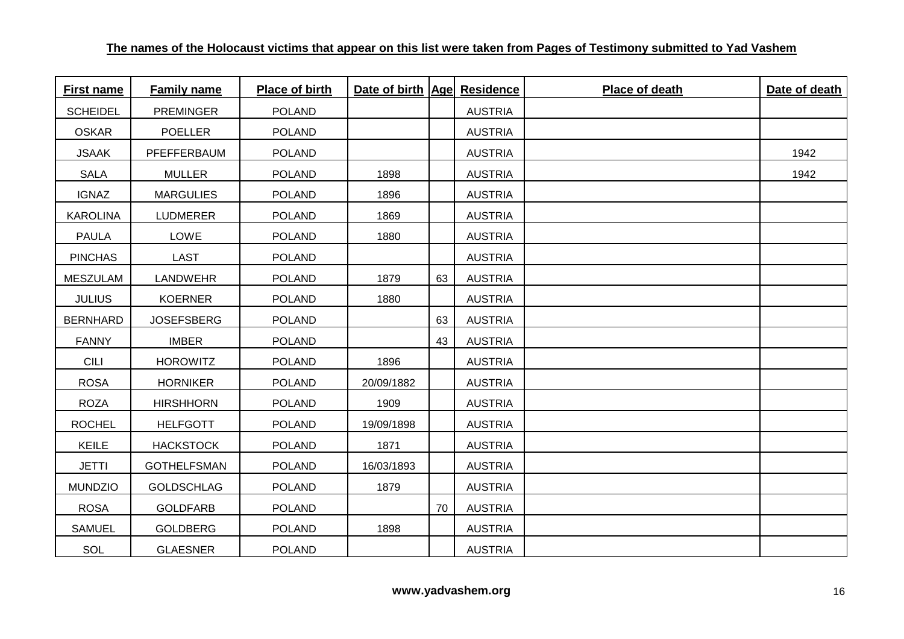| <b>First name</b> | <b>Family name</b> | Place of birth | Date of birth   Age  Residence |    |                | Place of death | Date of death |
|-------------------|--------------------|----------------|--------------------------------|----|----------------|----------------|---------------|
| <b>SCHEIDEL</b>   | <b>PREMINGER</b>   | <b>POLAND</b>  |                                |    | <b>AUSTRIA</b> |                |               |
| <b>OSKAR</b>      | <b>POELLER</b>     | <b>POLAND</b>  |                                |    | <b>AUSTRIA</b> |                |               |
| <b>JSAAK</b>      | PFEFFERBAUM        | <b>POLAND</b>  |                                |    | <b>AUSTRIA</b> |                | 1942          |
| <b>SALA</b>       | <b>MULLER</b>      | <b>POLAND</b>  | 1898                           |    | <b>AUSTRIA</b> |                | 1942          |
| <b>IGNAZ</b>      | <b>MARGULIES</b>   | <b>POLAND</b>  | 1896                           |    | <b>AUSTRIA</b> |                |               |
| <b>KAROLINA</b>   | <b>LUDMERER</b>    | <b>POLAND</b>  | 1869                           |    | <b>AUSTRIA</b> |                |               |
| <b>PAULA</b>      | LOWE               | <b>POLAND</b>  | 1880                           |    | <b>AUSTRIA</b> |                |               |
| <b>PINCHAS</b>    | <b>LAST</b>        | <b>POLAND</b>  |                                |    | <b>AUSTRIA</b> |                |               |
| <b>MESZULAM</b>   | <b>LANDWEHR</b>    | <b>POLAND</b>  | 1879                           | 63 | <b>AUSTRIA</b> |                |               |
| <b>JULIUS</b>     | <b>KOERNER</b>     | <b>POLAND</b>  | 1880                           |    | <b>AUSTRIA</b> |                |               |
| <b>BERNHARD</b>   | <b>JOSEFSBERG</b>  | <b>POLAND</b>  |                                | 63 | <b>AUSTRIA</b> |                |               |
| <b>FANNY</b>      | <b>IMBER</b>       | <b>POLAND</b>  |                                | 43 | <b>AUSTRIA</b> |                |               |
| <b>CILI</b>       | <b>HOROWITZ</b>    | <b>POLAND</b>  | 1896                           |    | <b>AUSTRIA</b> |                |               |
| <b>ROSA</b>       | <b>HORNIKER</b>    | <b>POLAND</b>  | 20/09/1882                     |    | <b>AUSTRIA</b> |                |               |
| <b>ROZA</b>       | <b>HIRSHHORN</b>   | <b>POLAND</b>  | 1909                           |    | <b>AUSTRIA</b> |                |               |
| <b>ROCHEL</b>     | <b>HELFGOTT</b>    | <b>POLAND</b>  | 19/09/1898                     |    | <b>AUSTRIA</b> |                |               |
| <b>KEILE</b>      | <b>HACKSTOCK</b>   | <b>POLAND</b>  | 1871                           |    | <b>AUSTRIA</b> |                |               |
| <b>JETTI</b>      | <b>GOTHELFSMAN</b> | <b>POLAND</b>  | 16/03/1893                     |    | <b>AUSTRIA</b> |                |               |
| <b>MUNDZIO</b>    | <b>GOLDSCHLAG</b>  | <b>POLAND</b>  | 1879                           |    | <b>AUSTRIA</b> |                |               |
| <b>ROSA</b>       | <b>GOLDFARB</b>    | <b>POLAND</b>  |                                | 70 | <b>AUSTRIA</b> |                |               |
| <b>SAMUEL</b>     | GOLDBERG           | <b>POLAND</b>  | 1898                           |    | <b>AUSTRIA</b> |                |               |
| SOL               | <b>GLAESNER</b>    | <b>POLAND</b>  |                                |    | <b>AUSTRIA</b> |                |               |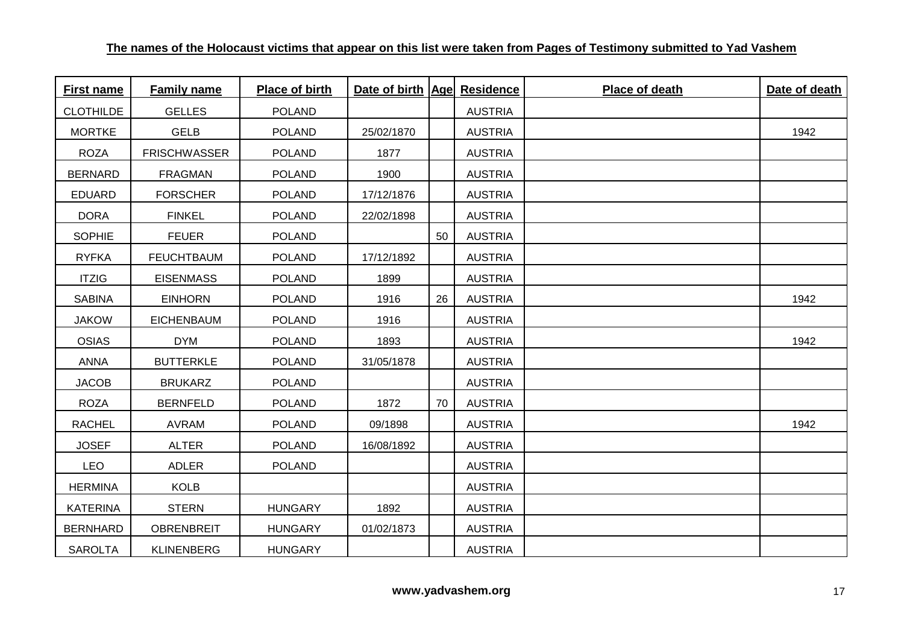| <b>First name</b> | <b>Family name</b>  | Place of birth | Date of birth   Age  Residence |    |                | Place of death | Date of death |
|-------------------|---------------------|----------------|--------------------------------|----|----------------|----------------|---------------|
| <b>CLOTHILDE</b>  | <b>GELLES</b>       | <b>POLAND</b>  |                                |    | <b>AUSTRIA</b> |                |               |
| <b>MORTKE</b>     | <b>GELB</b>         | <b>POLAND</b>  | 25/02/1870                     |    | <b>AUSTRIA</b> |                | 1942          |
| <b>ROZA</b>       | <b>FRISCHWASSER</b> | <b>POLAND</b>  | 1877                           |    | <b>AUSTRIA</b> |                |               |
| <b>BERNARD</b>    | <b>FRAGMAN</b>      | <b>POLAND</b>  | 1900                           |    | <b>AUSTRIA</b> |                |               |
| <b>EDUARD</b>     | <b>FORSCHER</b>     | <b>POLAND</b>  | 17/12/1876                     |    | <b>AUSTRIA</b> |                |               |
| <b>DORA</b>       | <b>FINKEL</b>       | <b>POLAND</b>  | 22/02/1898                     |    | <b>AUSTRIA</b> |                |               |
| <b>SOPHIE</b>     | <b>FEUER</b>        | <b>POLAND</b>  |                                | 50 | <b>AUSTRIA</b> |                |               |
| <b>RYFKA</b>      | <b>FEUCHTBAUM</b>   | <b>POLAND</b>  | 17/12/1892                     |    | <b>AUSTRIA</b> |                |               |
| <b>ITZIG</b>      | <b>EISENMASS</b>    | <b>POLAND</b>  | 1899                           |    | <b>AUSTRIA</b> |                |               |
| <b>SABINA</b>     | <b>EINHORN</b>      | <b>POLAND</b>  | 1916                           | 26 | <b>AUSTRIA</b> |                | 1942          |
| <b>JAKOW</b>      | <b>EICHENBAUM</b>   | <b>POLAND</b>  | 1916                           |    | <b>AUSTRIA</b> |                |               |
| <b>OSIAS</b>      | <b>DYM</b>          | <b>POLAND</b>  | 1893                           |    | <b>AUSTRIA</b> |                | 1942          |
| <b>ANNA</b>       | <b>BUTTERKLE</b>    | <b>POLAND</b>  | 31/05/1878                     |    | <b>AUSTRIA</b> |                |               |
| <b>JACOB</b>      | <b>BRUKARZ</b>      | <b>POLAND</b>  |                                |    | <b>AUSTRIA</b> |                |               |
| <b>ROZA</b>       | <b>BERNFELD</b>     | <b>POLAND</b>  | 1872                           | 70 | <b>AUSTRIA</b> |                |               |
| <b>RACHEL</b>     | <b>AVRAM</b>        | <b>POLAND</b>  | 09/1898                        |    | <b>AUSTRIA</b> |                | 1942          |
| <b>JOSEF</b>      | <b>ALTER</b>        | <b>POLAND</b>  | 16/08/1892                     |    | <b>AUSTRIA</b> |                |               |
| <b>LEO</b>        | ADLER               | <b>POLAND</b>  |                                |    | <b>AUSTRIA</b> |                |               |
| <b>HERMINA</b>    | <b>KOLB</b>         |                |                                |    | <b>AUSTRIA</b> |                |               |
| <b>KATERINA</b>   | <b>STERN</b>        | <b>HUNGARY</b> | 1892                           |    | <b>AUSTRIA</b> |                |               |
| <b>BERNHARD</b>   | <b>OBRENBREIT</b>   | <b>HUNGARY</b> | 01/02/1873                     |    | <b>AUSTRIA</b> |                |               |
| <b>SAROLTA</b>    | <b>KLINENBERG</b>   | <b>HUNGARY</b> |                                |    | <b>AUSTRIA</b> |                |               |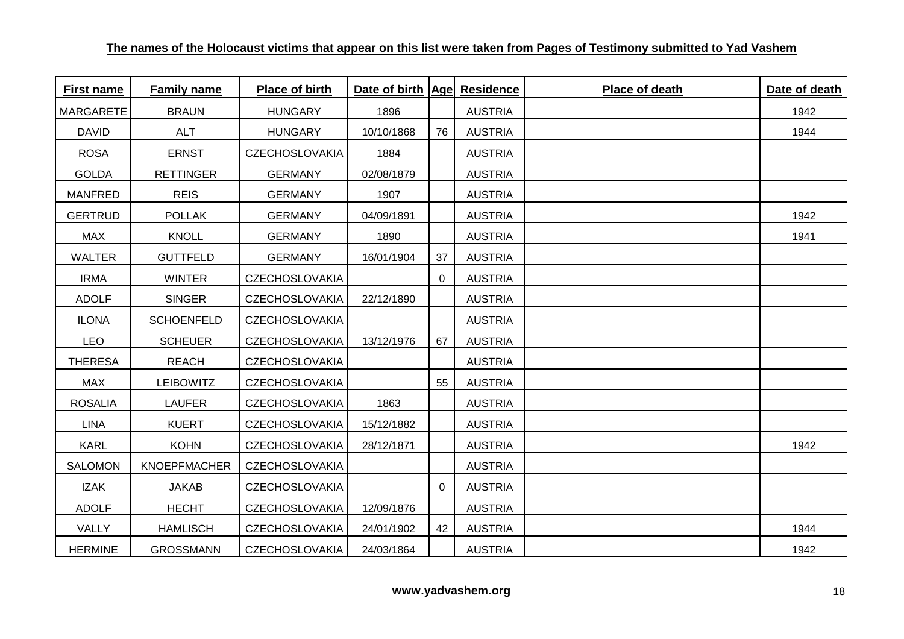| <b>First name</b> | <b>Family name</b>  | Place of birth        | Date of birth   Age  Residence |    |                | Place of death | Date of death |
|-------------------|---------------------|-----------------------|--------------------------------|----|----------------|----------------|---------------|
| <b>MARGARETE</b>  | <b>BRAUN</b>        | <b>HUNGARY</b>        | 1896                           |    | <b>AUSTRIA</b> |                | 1942          |
| <b>DAVID</b>      | <b>ALT</b>          | <b>HUNGARY</b>        | 10/10/1868                     | 76 | <b>AUSTRIA</b> |                | 1944          |
| <b>ROSA</b>       | <b>ERNST</b>        | <b>CZECHOSLOVAKIA</b> | 1884                           |    | <b>AUSTRIA</b> |                |               |
| <b>GOLDA</b>      | <b>RETTINGER</b>    | <b>GERMANY</b>        | 02/08/1879                     |    | <b>AUSTRIA</b> |                |               |
| <b>MANFRED</b>    | <b>REIS</b>         | <b>GERMANY</b>        | 1907                           |    | <b>AUSTRIA</b> |                |               |
| <b>GERTRUD</b>    | <b>POLLAK</b>       | <b>GERMANY</b>        | 04/09/1891                     |    | <b>AUSTRIA</b> |                | 1942          |
| <b>MAX</b>        | <b>KNOLL</b>        | <b>GERMANY</b>        | 1890                           |    | <b>AUSTRIA</b> |                | 1941          |
| <b>WALTER</b>     | <b>GUTTFELD</b>     | <b>GERMANY</b>        | 16/01/1904                     | 37 | <b>AUSTRIA</b> |                |               |
| <b>IRMA</b>       | <b>WINTER</b>       | <b>CZECHOSLOVAKIA</b> |                                | 0  | <b>AUSTRIA</b> |                |               |
| <b>ADOLF</b>      | <b>SINGER</b>       | <b>CZECHOSLOVAKIA</b> | 22/12/1890                     |    | <b>AUSTRIA</b> |                |               |
| <b>ILONA</b>      | <b>SCHOENFELD</b>   | <b>CZECHOSLOVAKIA</b> |                                |    | <b>AUSTRIA</b> |                |               |
| <b>LEO</b>        | <b>SCHEUER</b>      | <b>CZECHOSLOVAKIA</b> | 13/12/1976                     | 67 | <b>AUSTRIA</b> |                |               |
| <b>THERESA</b>    | <b>REACH</b>        | <b>CZECHOSLOVAKIA</b> |                                |    | <b>AUSTRIA</b> |                |               |
| <b>MAX</b>        | <b>LEIBOWITZ</b>    | <b>CZECHOSLOVAKIA</b> |                                | 55 | <b>AUSTRIA</b> |                |               |
| <b>ROSALIA</b>    | <b>LAUFER</b>       | <b>CZECHOSLOVAKIA</b> | 1863                           |    | <b>AUSTRIA</b> |                |               |
| <b>LINA</b>       | <b>KUERT</b>        | <b>CZECHOSLOVAKIA</b> | 15/12/1882                     |    | <b>AUSTRIA</b> |                |               |
| <b>KARL</b>       | <b>KOHN</b>         | <b>CZECHOSLOVAKIA</b> | 28/12/1871                     |    | <b>AUSTRIA</b> |                | 1942          |
| <b>SALOMON</b>    | <b>KNOEPFMACHER</b> | <b>CZECHOSLOVAKIA</b> |                                |    | <b>AUSTRIA</b> |                |               |
| <b>IZAK</b>       | <b>JAKAB</b>        | <b>CZECHOSLOVAKIA</b> |                                | 0  | <b>AUSTRIA</b> |                |               |
| <b>ADOLF</b>      | <b>HECHT</b>        | <b>CZECHOSLOVAKIA</b> | 12/09/1876                     |    | <b>AUSTRIA</b> |                |               |
| VALLY             | <b>HAMLISCH</b>     | <b>CZECHOSLOVAKIA</b> | 24/01/1902                     | 42 | <b>AUSTRIA</b> |                | 1944          |
| <b>HERMINE</b>    | <b>GROSSMANN</b>    | <b>CZECHOSLOVAKIA</b> | 24/03/1864                     |    | <b>AUSTRIA</b> |                | 1942          |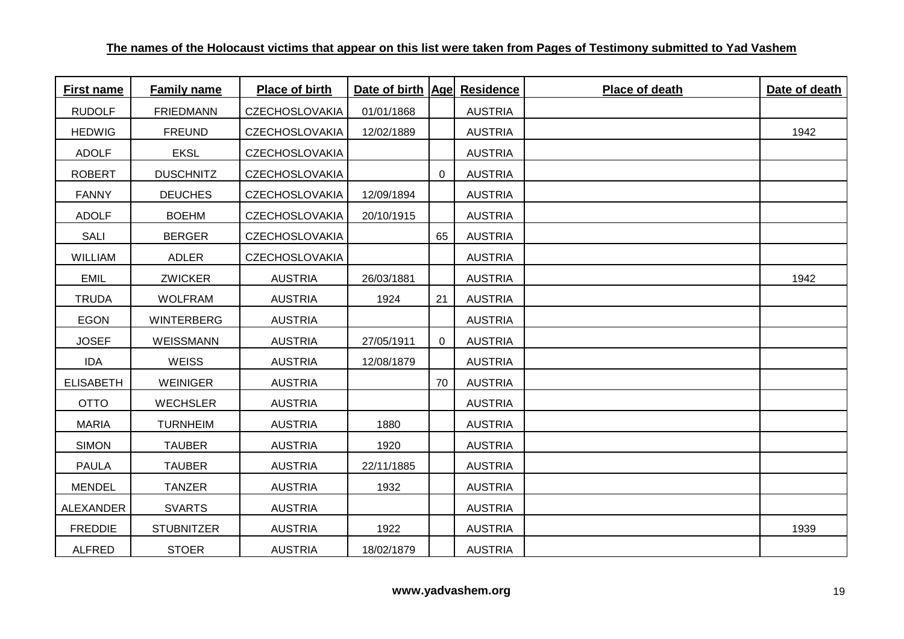| <b>First name</b> | <b>Family name</b> | Place of birth        | Date of birth   Age  Residence |             |                | Place of death | Date of death |
|-------------------|--------------------|-----------------------|--------------------------------|-------------|----------------|----------------|---------------|
| <b>RUDOLF</b>     | <b>FRIEDMANN</b>   | <b>CZECHOSLOVAKIA</b> | 01/01/1868                     |             | <b>AUSTRIA</b> |                |               |
| <b>HEDWIG</b>     | <b>FREUND</b>      | <b>CZECHOSLOVAKIA</b> | 12/02/1889                     |             | <b>AUSTRIA</b> |                | 1942          |
| <b>ADOLF</b>      | <b>EKSL</b>        | <b>CZECHOSLOVAKIA</b> |                                |             | <b>AUSTRIA</b> |                |               |
| <b>ROBERT</b>     | <b>DUSCHNITZ</b>   | <b>CZECHOSLOVAKIA</b> |                                | 0           | <b>AUSTRIA</b> |                |               |
| <b>FANNY</b>      | <b>DEUCHES</b>     | <b>CZECHOSLOVAKIA</b> | 12/09/1894                     |             | <b>AUSTRIA</b> |                |               |
| <b>ADOLF</b>      | <b>BOEHM</b>       | <b>CZECHOSLOVAKIA</b> | 20/10/1915                     |             | <b>AUSTRIA</b> |                |               |
| <b>SALI</b>       | <b>BERGER</b>      | <b>CZECHOSLOVAKIA</b> |                                | 65          | <b>AUSTRIA</b> |                |               |
| <b>WILLIAM</b>    | ADLER              | <b>CZECHOSLOVAKIA</b> |                                |             | <b>AUSTRIA</b> |                |               |
| <b>EMIL</b>       | <b>ZWICKER</b>     | <b>AUSTRIA</b>        | 26/03/1881                     |             | <b>AUSTRIA</b> |                | 1942          |
| <b>TRUDA</b>      | <b>WOLFRAM</b>     | <b>AUSTRIA</b>        | 1924                           | 21          | <b>AUSTRIA</b> |                |               |
| <b>EGON</b>       | WINTERBERG         | <b>AUSTRIA</b>        |                                |             | <b>AUSTRIA</b> |                |               |
| <b>JOSEF</b>      | WEISSMANN          | <b>AUSTRIA</b>        | 27/05/1911                     | $\mathbf 0$ | <b>AUSTRIA</b> |                |               |
| <b>IDA</b>        | <b>WEISS</b>       | <b>AUSTRIA</b>        | 12/08/1879                     |             | <b>AUSTRIA</b> |                |               |
| <b>ELISABETH</b>  | <b>WEINIGER</b>    | <b>AUSTRIA</b>        |                                | 70          | <b>AUSTRIA</b> |                |               |
| <b>OTTO</b>       | <b>WECHSLER</b>    | <b>AUSTRIA</b>        |                                |             | <b>AUSTRIA</b> |                |               |
| <b>MARIA</b>      | <b>TURNHEIM</b>    | <b>AUSTRIA</b>        | 1880                           |             | <b>AUSTRIA</b> |                |               |
| <b>SIMON</b>      | <b>TAUBER</b>      | <b>AUSTRIA</b>        | 1920                           |             | <b>AUSTRIA</b> |                |               |
| <b>PAULA</b>      | <b>TAUBER</b>      | <b>AUSTRIA</b>        | 22/11/1885                     |             | <b>AUSTRIA</b> |                |               |
| <b>MENDEL</b>     | TANZER             | <b>AUSTRIA</b>        | 1932                           |             | <b>AUSTRIA</b> |                |               |
| ALEXANDER         | <b>SVARTS</b>      | <b>AUSTRIA</b>        |                                |             | <b>AUSTRIA</b> |                |               |
| <b>FREDDIE</b>    | <b>STUBNITZER</b>  | <b>AUSTRIA</b>        | 1922                           |             | <b>AUSTRIA</b> |                | 1939          |
| <b>ALFRED</b>     | <b>STOER</b>       | <b>AUSTRIA</b>        | 18/02/1879                     |             | <b>AUSTRIA</b> |                |               |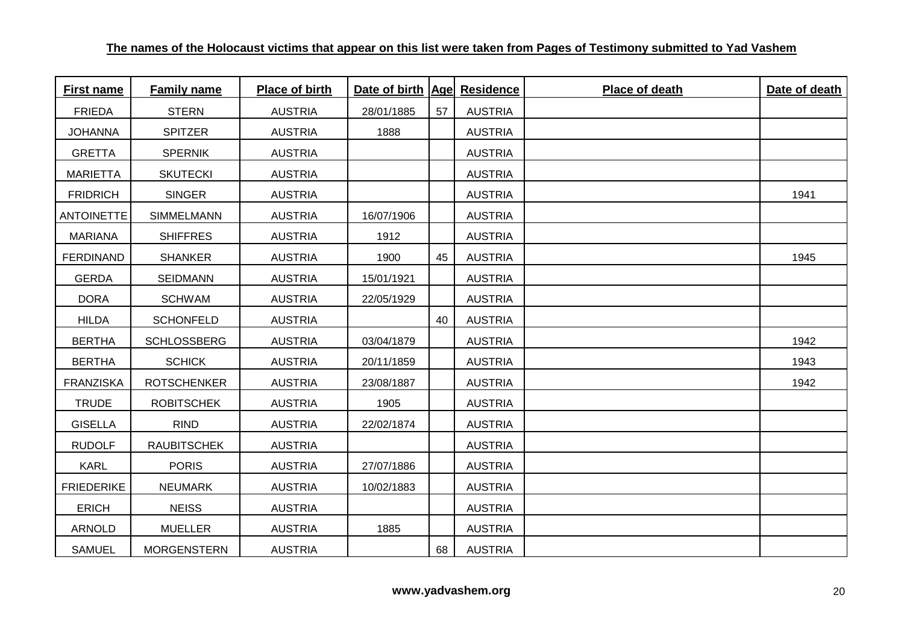| <b>First name</b> | <b>Family name</b> | Place of birth | Date of birth   Age  Residence |    |                | Place of death | Date of death |
|-------------------|--------------------|----------------|--------------------------------|----|----------------|----------------|---------------|
| <b>FRIEDA</b>     | <b>STERN</b>       | <b>AUSTRIA</b> | 28/01/1885                     | 57 | <b>AUSTRIA</b> |                |               |
| <b>JOHANNA</b>    | <b>SPITZER</b>     | <b>AUSTRIA</b> | 1888                           |    | <b>AUSTRIA</b> |                |               |
| <b>GRETTA</b>     | <b>SPERNIK</b>     | <b>AUSTRIA</b> |                                |    | <b>AUSTRIA</b> |                |               |
| <b>MARIETTA</b>   | <b>SKUTECKI</b>    | <b>AUSTRIA</b> |                                |    | <b>AUSTRIA</b> |                |               |
| <b>FRIDRICH</b>   | <b>SINGER</b>      | <b>AUSTRIA</b> |                                |    | <b>AUSTRIA</b> |                | 1941          |
| <b>ANTOINETTE</b> | SIMMELMANN         | <b>AUSTRIA</b> | 16/07/1906                     |    | <b>AUSTRIA</b> |                |               |
| <b>MARIANA</b>    | <b>SHIFFRES</b>    | <b>AUSTRIA</b> | 1912                           |    | <b>AUSTRIA</b> |                |               |
| <b>FERDINAND</b>  | <b>SHANKER</b>     | <b>AUSTRIA</b> | 1900                           | 45 | <b>AUSTRIA</b> |                | 1945          |
| <b>GERDA</b>      | <b>SEIDMANN</b>    | <b>AUSTRIA</b> | 15/01/1921                     |    | <b>AUSTRIA</b> |                |               |
| <b>DORA</b>       | <b>SCHWAM</b>      | <b>AUSTRIA</b> | 22/05/1929                     |    | <b>AUSTRIA</b> |                |               |
| <b>HILDA</b>      | <b>SCHONFELD</b>   | <b>AUSTRIA</b> |                                | 40 | <b>AUSTRIA</b> |                |               |
| <b>BERTHA</b>     | <b>SCHLOSSBERG</b> | <b>AUSTRIA</b> | 03/04/1879                     |    | <b>AUSTRIA</b> |                | 1942          |
| <b>BERTHA</b>     | <b>SCHICK</b>      | <b>AUSTRIA</b> | 20/11/1859                     |    | <b>AUSTRIA</b> |                | 1943          |
| <b>FRANZISKA</b>  | <b>ROTSCHENKER</b> | <b>AUSTRIA</b> | 23/08/1887                     |    | <b>AUSTRIA</b> |                | 1942          |
| <b>TRUDE</b>      | <b>ROBITSCHEK</b>  | <b>AUSTRIA</b> | 1905                           |    | <b>AUSTRIA</b> |                |               |
| <b>GISELLA</b>    | <b>RIND</b>        | <b>AUSTRIA</b> | 22/02/1874                     |    | <b>AUSTRIA</b> |                |               |
| <b>RUDOLF</b>     | <b>RAUBITSCHEK</b> | <b>AUSTRIA</b> |                                |    | <b>AUSTRIA</b> |                |               |
| <b>KARL</b>       | <b>PORIS</b>       | <b>AUSTRIA</b> | 27/07/1886                     |    | <b>AUSTRIA</b> |                |               |
| <b>FRIEDERIKE</b> | <b>NEUMARK</b>     | <b>AUSTRIA</b> | 10/02/1883                     |    | <b>AUSTRIA</b> |                |               |
| <b>ERICH</b>      | <b>NEISS</b>       | <b>AUSTRIA</b> |                                |    | <b>AUSTRIA</b> |                |               |
| <b>ARNOLD</b>     | <b>MUELLER</b>     | <b>AUSTRIA</b> | 1885                           |    | <b>AUSTRIA</b> |                |               |
| <b>SAMUEL</b>     | <b>MORGENSTERN</b> | <b>AUSTRIA</b> |                                | 68 | <b>AUSTRIA</b> |                |               |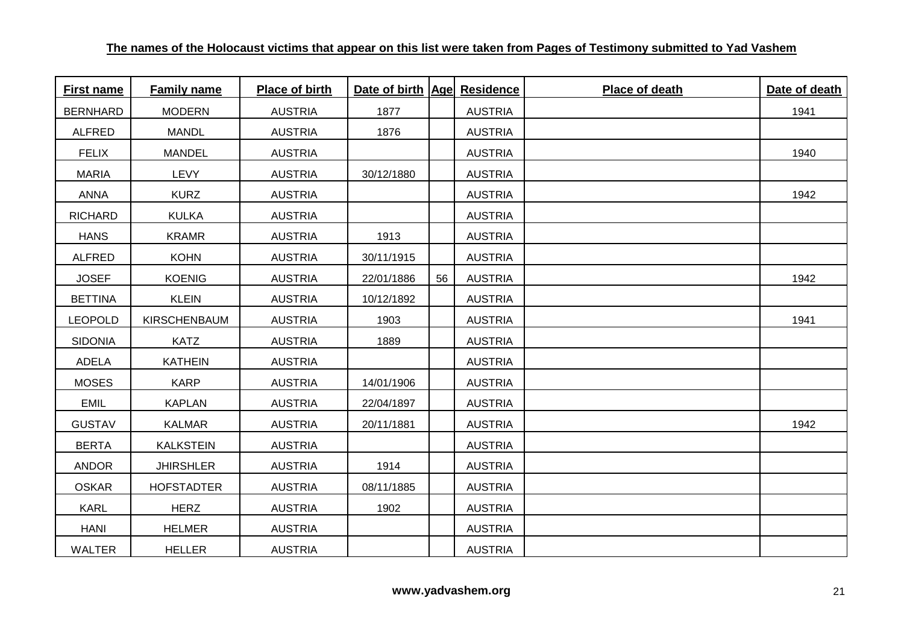| First name      | <b>Family name</b> | Place of birth | Date of birth   Age  Residence |    |                | Place of death | Date of death |
|-----------------|--------------------|----------------|--------------------------------|----|----------------|----------------|---------------|
| <b>BERNHARD</b> | <b>MODERN</b>      | <b>AUSTRIA</b> | 1877                           |    | <b>AUSTRIA</b> |                | 1941          |
| <b>ALFRED</b>   | <b>MANDL</b>       | <b>AUSTRIA</b> | 1876                           |    | <b>AUSTRIA</b> |                |               |
| <b>FELIX</b>    | <b>MANDEL</b>      | <b>AUSTRIA</b> |                                |    | <b>AUSTRIA</b> |                | 1940          |
| <b>MARIA</b>    | LEVY               | <b>AUSTRIA</b> | 30/12/1880                     |    | <b>AUSTRIA</b> |                |               |
| <b>ANNA</b>     | <b>KURZ</b>        | <b>AUSTRIA</b> |                                |    | <b>AUSTRIA</b> |                | 1942          |
| <b>RICHARD</b>  | <b>KULKA</b>       | <b>AUSTRIA</b> |                                |    | <b>AUSTRIA</b> |                |               |
| <b>HANS</b>     | <b>KRAMR</b>       | <b>AUSTRIA</b> | 1913                           |    | <b>AUSTRIA</b> |                |               |
| <b>ALFRED</b>   | <b>KOHN</b>        | <b>AUSTRIA</b> | 30/11/1915                     |    | <b>AUSTRIA</b> |                |               |
| <b>JOSEF</b>    | <b>KOENIG</b>      | <b>AUSTRIA</b> | 22/01/1886                     | 56 | <b>AUSTRIA</b> |                | 1942          |
| <b>BETTINA</b>  | <b>KLEIN</b>       | <b>AUSTRIA</b> | 10/12/1892                     |    | <b>AUSTRIA</b> |                |               |
| <b>LEOPOLD</b>  | KIRSCHENBAUM       | <b>AUSTRIA</b> | 1903                           |    | <b>AUSTRIA</b> |                | 1941          |
| <b>SIDONIA</b>  | <b>KATZ</b>        | <b>AUSTRIA</b> | 1889                           |    | <b>AUSTRIA</b> |                |               |
| <b>ADELA</b>    | <b>KATHEIN</b>     | <b>AUSTRIA</b> |                                |    | <b>AUSTRIA</b> |                |               |
| <b>MOSES</b>    | <b>KARP</b>        | <b>AUSTRIA</b> | 14/01/1906                     |    | <b>AUSTRIA</b> |                |               |
| <b>EMIL</b>     | <b>KAPLAN</b>      | <b>AUSTRIA</b> | 22/04/1897                     |    | <b>AUSTRIA</b> |                |               |
| <b>GUSTAV</b>   | <b>KALMAR</b>      | <b>AUSTRIA</b> | 20/11/1881                     |    | <b>AUSTRIA</b> |                | 1942          |
| <b>BERTA</b>    | <b>KALKSTEIN</b>   | <b>AUSTRIA</b> |                                |    | <b>AUSTRIA</b> |                |               |
| <b>ANDOR</b>    | <b>JHIRSHLER</b>   | <b>AUSTRIA</b> | 1914                           |    | <b>AUSTRIA</b> |                |               |
| <b>OSKAR</b>    | <b>HOFSTADTER</b>  | <b>AUSTRIA</b> | 08/11/1885                     |    | <b>AUSTRIA</b> |                |               |
| <b>KARL</b>     | <b>HERZ</b>        | <b>AUSTRIA</b> | 1902                           |    | <b>AUSTRIA</b> |                |               |
| <b>HANI</b>     | <b>HELMER</b>      | <b>AUSTRIA</b> |                                |    | <b>AUSTRIA</b> |                |               |
| WALTER          | <b>HELLER</b>      | <b>AUSTRIA</b> |                                |    | <b>AUSTRIA</b> |                |               |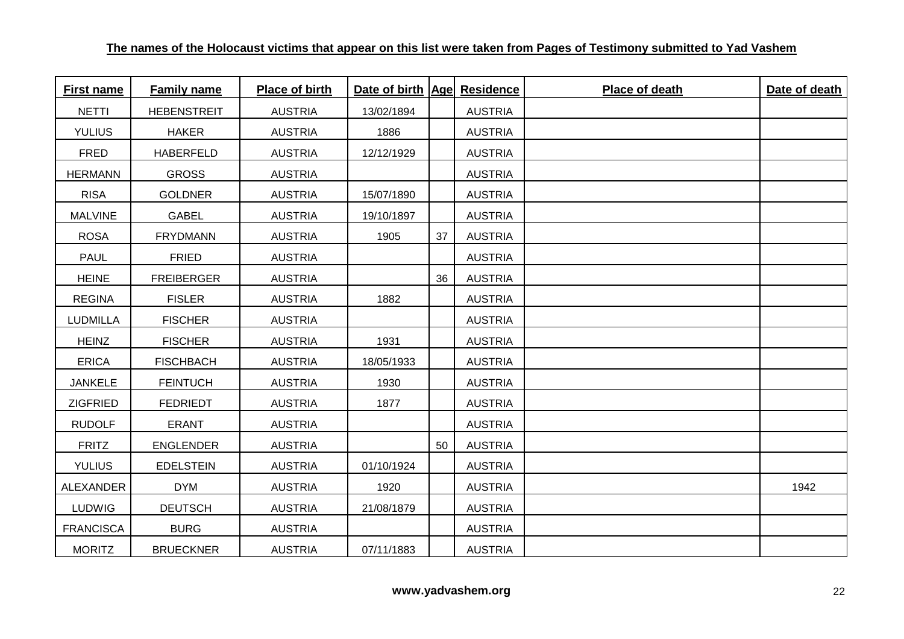| <b>First name</b> | <b>Family name</b> | Place of birth | Date of birth   Age  Residence |    |                | Place of death | Date of death |
|-------------------|--------------------|----------------|--------------------------------|----|----------------|----------------|---------------|
| <b>NETTI</b>      | <b>HEBENSTREIT</b> | <b>AUSTRIA</b> | 13/02/1894                     |    | <b>AUSTRIA</b> |                |               |
| <b>YULIUS</b>     | <b>HAKER</b>       | <b>AUSTRIA</b> | 1886                           |    | <b>AUSTRIA</b> |                |               |
| <b>FRED</b>       | <b>HABERFELD</b>   | <b>AUSTRIA</b> | 12/12/1929                     |    | <b>AUSTRIA</b> |                |               |
| <b>HERMANN</b>    | <b>GROSS</b>       | <b>AUSTRIA</b> |                                |    | <b>AUSTRIA</b> |                |               |
| <b>RISA</b>       | <b>GOLDNER</b>     | <b>AUSTRIA</b> | 15/07/1890                     |    | <b>AUSTRIA</b> |                |               |
| <b>MALVINE</b>    | <b>GABEL</b>       | <b>AUSTRIA</b> | 19/10/1897                     |    | <b>AUSTRIA</b> |                |               |
| <b>ROSA</b>       | <b>FRYDMANN</b>    | <b>AUSTRIA</b> | 1905                           | 37 | <b>AUSTRIA</b> |                |               |
| <b>PAUL</b>       | <b>FRIED</b>       | <b>AUSTRIA</b> |                                |    | <b>AUSTRIA</b> |                |               |
| <b>HEINE</b>      | <b>FREIBERGER</b>  | <b>AUSTRIA</b> |                                | 36 | <b>AUSTRIA</b> |                |               |
| <b>REGINA</b>     | <b>FISLER</b>      | <b>AUSTRIA</b> | 1882                           |    | <b>AUSTRIA</b> |                |               |
| <b>LUDMILLA</b>   | <b>FISCHER</b>     | <b>AUSTRIA</b> |                                |    | <b>AUSTRIA</b> |                |               |
| <b>HEINZ</b>      | <b>FISCHER</b>     | <b>AUSTRIA</b> | 1931                           |    | <b>AUSTRIA</b> |                |               |
| <b>ERICA</b>      | <b>FISCHBACH</b>   | <b>AUSTRIA</b> | 18/05/1933                     |    | <b>AUSTRIA</b> |                |               |
| <b>JANKELE</b>    | <b>FEINTUCH</b>    | <b>AUSTRIA</b> | 1930                           |    | <b>AUSTRIA</b> |                |               |
| <b>ZIGFRIED</b>   | <b>FEDRIEDT</b>    | <b>AUSTRIA</b> | 1877                           |    | <b>AUSTRIA</b> |                |               |
| <b>RUDOLF</b>     | <b>ERANT</b>       | <b>AUSTRIA</b> |                                |    | <b>AUSTRIA</b> |                |               |
| <b>FRITZ</b>      | <b>ENGLENDER</b>   | <b>AUSTRIA</b> |                                | 50 | <b>AUSTRIA</b> |                |               |
| <b>YULIUS</b>     | <b>EDELSTEIN</b>   | <b>AUSTRIA</b> | 01/10/1924                     |    | <b>AUSTRIA</b> |                |               |
| <b>ALEXANDER</b>  | <b>DYM</b>         | <b>AUSTRIA</b> | 1920                           |    | <b>AUSTRIA</b> |                | 1942          |
| <b>LUDWIG</b>     | <b>DEUTSCH</b>     | <b>AUSTRIA</b> | 21/08/1879                     |    | <b>AUSTRIA</b> |                |               |
| <b>FRANCISCA</b>  | <b>BURG</b>        | <b>AUSTRIA</b> |                                |    | <b>AUSTRIA</b> |                |               |
| <b>MORITZ</b>     | <b>BRUECKNER</b>   | <b>AUSTRIA</b> | 07/11/1883                     |    | <b>AUSTRIA</b> |                |               |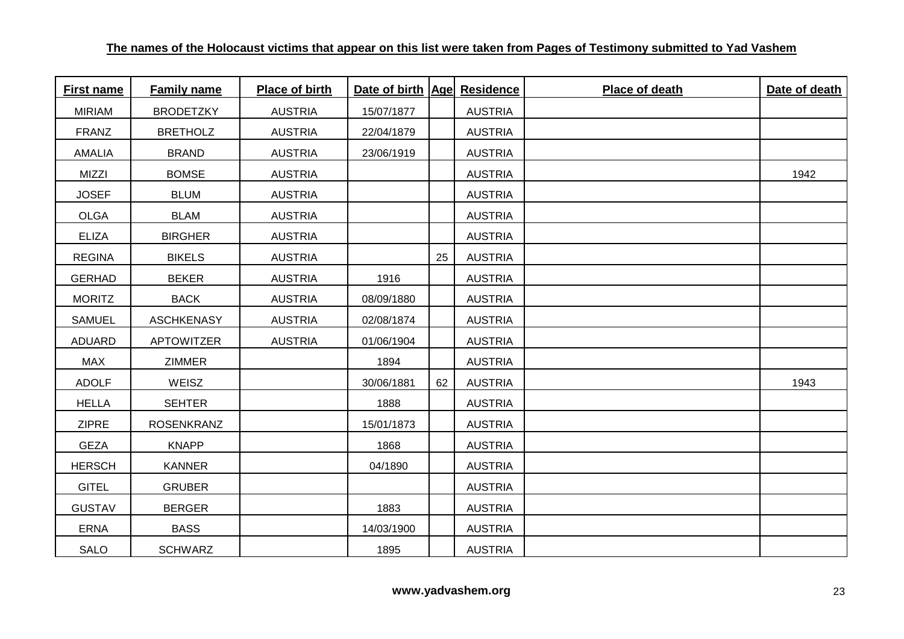| <b>First name</b> | <b>Family name</b> | Place of birth | Date of birth   Age  Residence |    |                | Place of death | Date of death |
|-------------------|--------------------|----------------|--------------------------------|----|----------------|----------------|---------------|
| <b>MIRIAM</b>     | <b>BRODETZKY</b>   | <b>AUSTRIA</b> | 15/07/1877                     |    | <b>AUSTRIA</b> |                |               |
| FRANZ             | <b>BRETHOLZ</b>    | <b>AUSTRIA</b> | 22/04/1879                     |    | <b>AUSTRIA</b> |                |               |
| <b>AMALIA</b>     | <b>BRAND</b>       | <b>AUSTRIA</b> | 23/06/1919                     |    | <b>AUSTRIA</b> |                |               |
| <b>MIZZI</b>      | <b>BOMSE</b>       | <b>AUSTRIA</b> |                                |    | <b>AUSTRIA</b> |                | 1942          |
| <b>JOSEF</b>      | <b>BLUM</b>        | <b>AUSTRIA</b> |                                |    | <b>AUSTRIA</b> |                |               |
| <b>OLGA</b>       | <b>BLAM</b>        | <b>AUSTRIA</b> |                                |    | <b>AUSTRIA</b> |                |               |
| <b>ELIZA</b>      | <b>BIRGHER</b>     | <b>AUSTRIA</b> |                                |    | <b>AUSTRIA</b> |                |               |
| <b>REGINA</b>     | <b>BIKELS</b>      | <b>AUSTRIA</b> |                                | 25 | <b>AUSTRIA</b> |                |               |
| <b>GERHAD</b>     | <b>BEKER</b>       | <b>AUSTRIA</b> | 1916                           |    | <b>AUSTRIA</b> |                |               |
| <b>MORITZ</b>     | <b>BACK</b>        | <b>AUSTRIA</b> | 08/09/1880                     |    | <b>AUSTRIA</b> |                |               |
| <b>SAMUEL</b>     | <b>ASCHKENASY</b>  | <b>AUSTRIA</b> | 02/08/1874                     |    | <b>AUSTRIA</b> |                |               |
| ADUARD            | <b>APTOWITZER</b>  | <b>AUSTRIA</b> | 01/06/1904                     |    | <b>AUSTRIA</b> |                |               |
| <b>MAX</b>        | <b>ZIMMER</b>      |                | 1894                           |    | <b>AUSTRIA</b> |                |               |
| <b>ADOLF</b>      | WEISZ              |                | 30/06/1881                     | 62 | <b>AUSTRIA</b> |                | 1943          |
| <b>HELLA</b>      | <b>SEHTER</b>      |                | 1888                           |    | <b>AUSTRIA</b> |                |               |
| <b>ZIPRE</b>      | <b>ROSENKRANZ</b>  |                | 15/01/1873                     |    | <b>AUSTRIA</b> |                |               |
| <b>GEZA</b>       | <b>KNAPP</b>       |                | 1868                           |    | <b>AUSTRIA</b> |                |               |
| <b>HERSCH</b>     | <b>KANNER</b>      |                | 04/1890                        |    | <b>AUSTRIA</b> |                |               |
| <b>GITEL</b>      | <b>GRUBER</b>      |                |                                |    | <b>AUSTRIA</b> |                |               |
| <b>GUSTAV</b>     | <b>BERGER</b>      |                | 1883                           |    | <b>AUSTRIA</b> |                |               |
| <b>ERNA</b>       | <b>BASS</b>        |                | 14/03/1900                     |    | <b>AUSTRIA</b> |                |               |
| <b>SALO</b>       | <b>SCHWARZ</b>     |                | 1895                           |    | <b>AUSTRIA</b> |                |               |